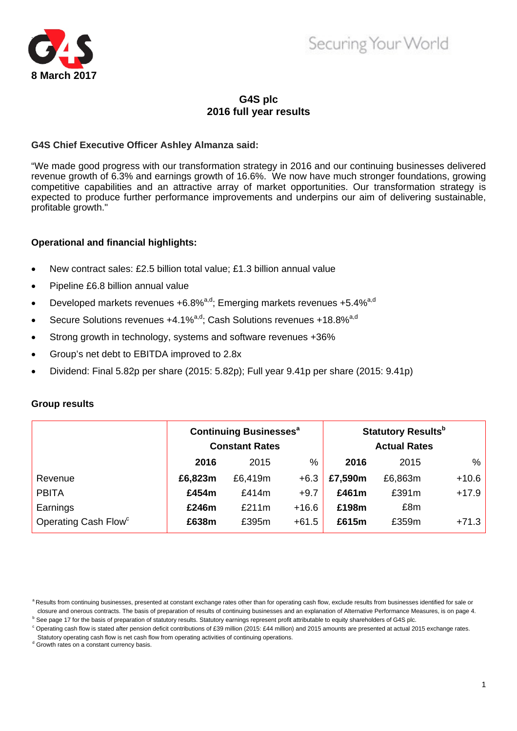

# Securing Your World

## **G4S plc 2016 full year results**

## **G4S Chief Executive Officer Ashley Almanza said:**

"We made good progress with our transformation strategy in 2016 and our continuing businesses delivered revenue growth of 6.3% and earnings growth of 16.6%. We now have much stronger foundations, growing competitive capabilities and an attractive array of market opportunities. Our transformation strategy is expected to produce further performance improvements and underpins our aim of delivering sustainable, profitable growth."

## **Operational and financial highlights:**

- New contract sales: £2.5 billion total value; £1.3 billion annual value
- Pipeline £6.8 billion annual value
- Developed markets revenues +6.8% $a,d$ ; Emerging markets revenues +5.4% $a,d$
- Secure Solutions revenues  $+4.1\%$ <sup>a,d</sup>; Cash Solutions revenues  $+18.8\%$ <sup>a,d</sup>
- Strong growth in technology, systems and software revenues +36%
- Group's net debt to EBITDA improved to 2.8x
- Dividend: Final 5.82p per share (2015: 5.82p); Full year 9.41p per share (2015: 9.41p)

### **Group results**

|                                  | <b>Continuing Businesses<sup>a</sup></b><br><b>Constant Rates</b> |         |               |         | <b>Statutory Results</b> <sup>b</sup><br><b>Actual Rates</b> |         |
|----------------------------------|-------------------------------------------------------------------|---------|---------------|---------|--------------------------------------------------------------|---------|
|                                  | 2016                                                              | 2015    | $\frac{0}{0}$ | 2016    | 2015                                                         | %       |
| Revenue                          | £6,823m                                                           | £6,419m | $+6.3$        | £7,590m | £6,863m                                                      | $+10.6$ |
| <b>PBITA</b>                     | £454m                                                             | £414m   | $+9.7$        | £461m   | £391m                                                        | $+17.9$ |
| Earnings                         | £246m                                                             | £211m   | $+16.6$       | £198m   | £8m                                                          |         |
| Operating Cash Flow <sup>c</sup> | £638m                                                             | £395m   | $+61.5$       | £615m   | £359m                                                        | $+71.3$ |

a Results from continuing businesses, presented at constant exchange rates other than for operating cash flow, exclude results from businesses identified for sale or closure and onerous contracts. The basis of preparation of results of continuing businesses and an explanation of Alternative Performance Measures, is on page 4.<br><sup>b</sup> See page 17 for the basis of preparation of statutory re

<sup>°</sup> Operating cash flow is stated after pension deficit contributions of £39 million (2015: £44 million) and 2015 amounts are presented at actual 2015 exchange rates.

Statutory operating cash flow is net cash flow from operating activities of continuing operations.

d Growth rates on a constant currency basis.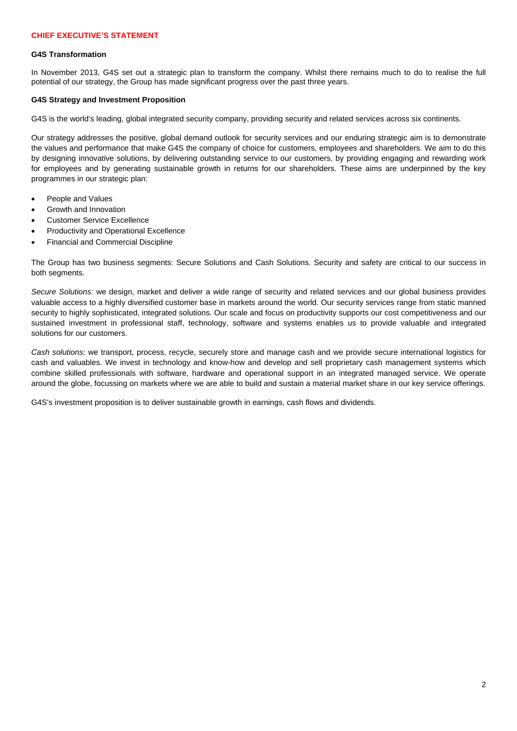### **G4S Transformation**

In November 2013, G4S set out a strategic plan to transform the company. Whilst there remains much to do to realise the full potential of our strategy, the Group has made significant progress over the past three years.

### **G4S Strategy and Investment Proposition**

G4S is the world's leading, global integrated security company, providing security and related services across six continents.

Our strategy addresses the positive, global demand outlook for security services and our enduring strategic aim is to demonstrate the values and performance that make G4S the company of choice for customers, employees and shareholders. We aim to do this by designing innovative solutions, by delivering outstanding service to our customers, by providing engaging and rewarding work for employees and by generating sustainable growth in returns for our shareholders. These aims are underpinned by the key programmes in our strategic plan:

- People and Values
- Growth and Innovation
- Customer Service Excellence
- Productivity and Operational Excellence
- Financial and Commercial Discipline

The Group has two business segments: Secure Solutions and Cash Solutions. Security and safety are critical to our success in both segments.

 *Secure Solutions:* we design, market and deliver a wide range of security and related services and our global business provides valuable access to a highly diversified customer base in markets around the world. Our security services range from static manned security to highly sophisticated, integrated solutions. Our scale and focus on productivity supports our cost competitiveness and our sustained investment in professional staff, technology, software and systems enables us to provide valuable and integrated solutions for our customers.

*Cash solutions:* we transport, process, recycle, securely store and manage cash and we provide secure international logistics for cash and valuables. We invest in technology and know-how and develop and sell proprietary cash management systems which combine skilled professionals with software, hardware and operational support in an integrated managed service. We operate around the globe, focussing on markets where we are able to build and sustain a material market share in our key service offerings.

G4S's investment proposition is to deliver sustainable growth in earnings, cash flows and dividends.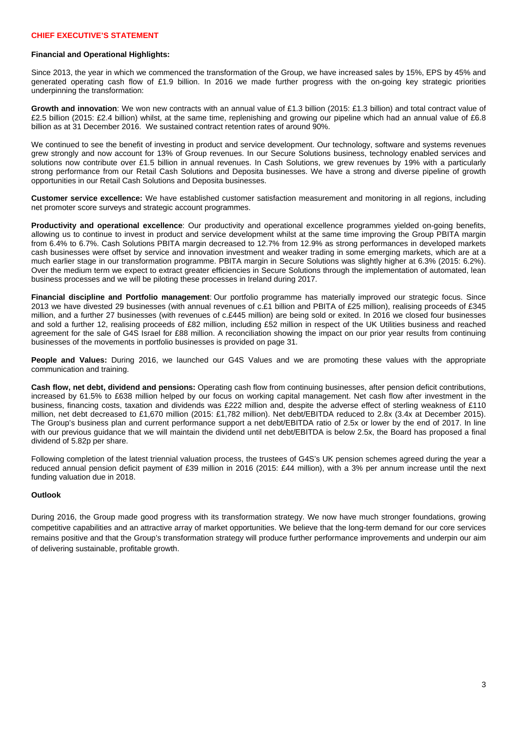### **Financial and Operational Highlights:**

 Since 2013, the year in which we commenced the transformation of the Group, we have increased sales by 15%, EPS by 45% and generated operating cash flow of £1.9 billion. In 2016 we made further progress with the on-going key strategic priorities underpinning the transformation:

**Growth and innovation**: We won new contracts with an annual value of £1.3 billion (2015: £1.3 billion) and total contract value of £2.5 billion (2015: £2.4 billion) whilst, at the same time, replenishing and growing our pipeline which had an annual value of £6.8 billion as at 31 December 2016. We sustained contract retention rates of around 90%.

 grew strongly and now account for 13% of Group revenues. In our Secure Solutions business, technology enabled services and We continued to see the benefit of investing in product and service development. Our technology, software and systems revenues solutions now contribute over £1.5 billion in annual revenues. In Cash Solutions, we grew revenues by 19% with a particularly strong performance from our Retail Cash Solutions and Deposita businesses. We have a strong and diverse pipeline of growth opportunities in our Retail Cash Solutions and Deposita businesses.

**Customer service excellence:** We have established customer satisfaction measurement and monitoring in all regions, including net promoter score surveys and strategic account programmes.

**Productivity and operational excellence**: Our productivity and operational excellence programmes yielded on-going benefits, allowing us to continue to invest in product and service development whilst at the same time improving the Group PBITA margin from 6.4% to 6.7%. Cash Solutions PBITA margin decreased to 12.7% from 12.9% as strong performances in developed markets cash businesses were offset by service and innovation investment and weaker trading in some emerging markets, which are at a much earlier stage in our transformation programme. PBITA margin in Secure Solutions was slightly higher at 6.3% (2015: 6.2%). Over the medium term we expect to extract greater efficiencies in Secure Solutions through the implementation of automated, lean business processes and we will be piloting these processes in Ireland during 2017.

**Financial discipline and Portfolio management**: Our portfolio programme has materially improved our strategic focus. Since 2013 we have divested 29 businesses (with annual revenues of c.£1 billion and PBITA of £25 million), realising proceeds of £345 million, and a further 27 businesses (with revenues of c.£445 million) are being sold or exited. In 2016 we closed four businesses and sold a further 12, realising proceeds of £82 million, including £52 million in respect of the UK Utilities business and reached agreement for the sale of G4S Israel for £88 million. A reconciliation showing the impact on our prior year results from continuing businesses of the movements in portfolio businesses is provided on page 31.

**People and Values:** During 2016, we launched our G4S Values and we are promoting these values with the appropriate communication and training.

**Cash flow, net debt, dividend and pensions:** Operating cash flow from continuing businesses, after pension deficit contributions, increased by 61.5% to £638 million helped by our focus on working capital management. Net cash flow after investment in the business, financing costs, taxation and dividends was £222 million and, despite the adverse effect of sterling weakness of £110 million, net debt decreased to £1,670 million (2015: £1,782 million). Net debt/EBITDA reduced to 2.8x (3.4x at December 2015). The Group's business plan and current performance support a net debt/EBITDA ratio of 2.5x or lower by the end of 2017. In line with our previous guidance that we will maintain the dividend until net debt/EBITDA is below 2.5x, the Board has proposed a final dividend of 5.82p per share.

Following completion of the latest triennial valuation process, the trustees of G4S's UK pension schemes agreed during the year a reduced annual pension deficit payment of £39 million in 2016 (2015: £44 million), with a 3% per annum increase until the next funding valuation due in 2018.

### **Outlook**

During 2016, the Group made good progress with its transformation strategy. We now have much stronger foundations, growing competitive capabilities and an attractive array of market opportunities. We believe that the long-term demand for our core services remains positive and that the Group's transformation strategy will produce further performance improvements and underpin our aim of delivering sustainable, profitable growth.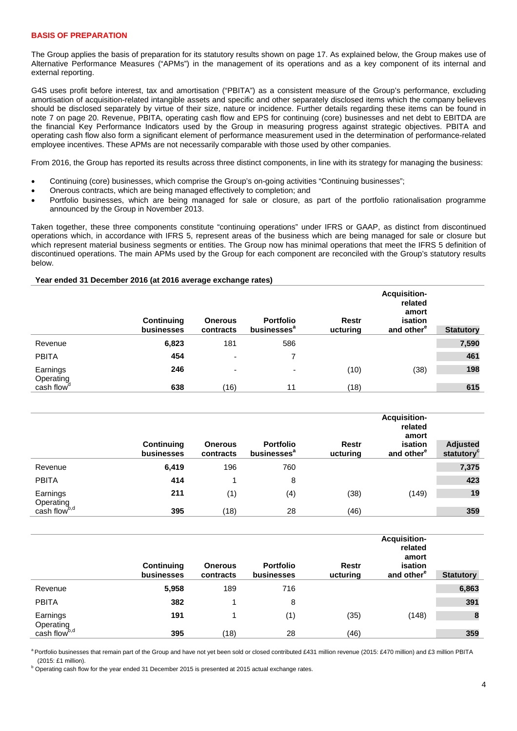### **BASIS OF PREPARATION**

The Group applies the basis of preparation for its statutory results shown on page 17. As explained below, the Group makes use of Alternative Performance Measures ("APMs") in the management of its operations and as a key component of its internal and external reporting.

G4S uses profit before interest, tax and amortisation ("PBITA") as a consistent measure of the Group's performance, excluding amortisation of acquisition-related intangible assets and specific and other separately disclosed items which the company believes should be disclosed separately by virtue of their size, nature or incidence. Further details regarding these items can be found in note 7 on page 20. Revenue, PBITA, operating cash flow and EPS for continuing (core) businesses and net debt to EBITDA are the financial Key Performance Indicators used by the Group in measuring progress against strategic objectives. PBITA and operating cash flow also form a significant element of performance measurement used in the determination of performance-related employee incentives. These APMs are not necessarily comparable with those used by other companies.

From 2016, the Group has reported its results across three distinct components, in line with its strategy for managing the business:

- Continuing (core) businesses, which comprise the Group's on-going activities "Continuing businesses";
- Onerous contracts, which are being managed effectively to completion; and
- Portfolio businesses, which are being managed for sale or closure, as part of the portfolio rationalisation programme announced by the Group in November 2013.

Taken together, these three components constitute "continuing operations" under IFRS or GAAP, as distinct from discontinued operations which, in accordance with IFRS 5, represent areas of the business which are being managed for sale or closure but which represent material business segments or entities. The Group now has minimal operations that meet the IFRS 5 definition of discontinued operations. The main APMs used by the Group for each component are reconciled with the Group's statutory results below.

### **Year ended 31 December 2016 (at 2016 average exchange rates)**

|                        | Continuing<br>businesses | <b>Onerous</b><br>contracts | <b>Portfolio</b><br>businesses <sup>a</sup> | <b>Restr</b><br>ucturing | <b>Acquisition-</b><br>related<br>amort<br>isation<br>and other <sup>e</sup> | <b>Statutory</b> |
|------------------------|--------------------------|-----------------------------|---------------------------------------------|--------------------------|------------------------------------------------------------------------------|------------------|
| Revenue                | 6,823                    | 181                         | 586                                         |                          |                                                                              | 7,590            |
| <b>PBITA</b>           | 454                      | $\overline{\phantom{0}}$    |                                             |                          |                                                                              | 461              |
| Earnings<br>Operating  | 246                      | ٠                           | ۰                                           | (10)                     | (38)                                                                         | 198              |
| cash flow <sup>"</sup> | 638                      | (16)                        | 11                                          | (18)                     |                                                                              | 615              |

|                          | Continuing<br>businesses | <b>Onerous</b><br>contracts | <b>Portfolio</b><br>businesses <sup>a</sup> | Restr<br>ucturing | <b>Acquisition-</b><br>related<br>amort<br>isation<br>and other <sup>e</sup> | <b>Adjusted</b><br>statutory |
|--------------------------|--------------------------|-----------------------------|---------------------------------------------|-------------------|------------------------------------------------------------------------------|------------------------------|
| Revenue                  | 6,419                    | 196                         | 760                                         |                   |                                                                              | 7,375                        |
| <b>PBITA</b>             | 414                      |                             | 8                                           |                   |                                                                              | 423                          |
| Earnings<br>Operating    | 211                      | (1)                         | (4)                                         | (38)              | (149)                                                                        | 19                           |
| cash flow <sup>b,d</sup> | 395                      | (18)                        | 28                                          | (46)              |                                                                              | 359                          |

|                          | Continuing<br>businesses | <b>Onerous</b><br>contracts | <b>Portfolio</b><br>businesses | Restr<br>ucturing | <b>Acquisition-</b><br>related<br>amort<br>isation<br>and other <sup>e</sup> | <b>Statutory</b> |
|--------------------------|--------------------------|-----------------------------|--------------------------------|-------------------|------------------------------------------------------------------------------|------------------|
| Revenue                  | 5,958                    | 189                         | 716                            |                   |                                                                              | 6,863            |
| <b>PBITA</b>             | 382                      |                             | 8                              |                   |                                                                              | 391              |
| Earnings<br>Operating    | 191                      |                             | (1)                            | (35)              | (148)                                                                        | $\boldsymbol{8}$ |
| cash flow <sup>b,d</sup> | 395                      | (18)                        | 28                             | (46)              |                                                                              | 359              |

a Portfolio businesses that remain part of the Group and have not yet been sold or closed contributed £431 million revenue (2015: £470 million) and £3 million PBITA

(2015: £1 million).<br><sup>b</sup> Operating cash flow for the year ended 31 December 2015 is presented at 2015 actual exchange rates.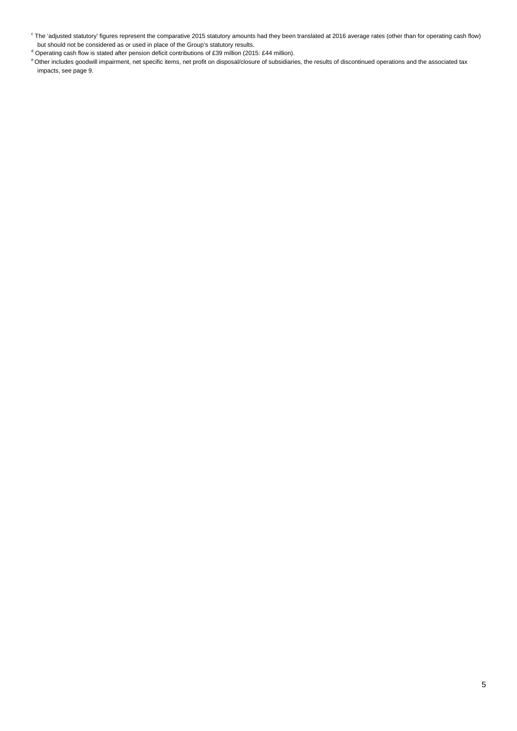- <sup>c</sup> The 'adjusted statutory' figures represent the comparative 2015 statutory amounts had they been translated at 2016 average rates (other than for operating cash flow) but should not be considered as or used in place of the Group's statutory results.
- Operating cash flow is stated after pension deficit contributions of £39 million (2015: £44 million).
- e Other includes goodwill impairment, net specific items, net profit on disposal/closure of subsidiaries, the results of discontinued operations and the associated tax impacts, see page 9.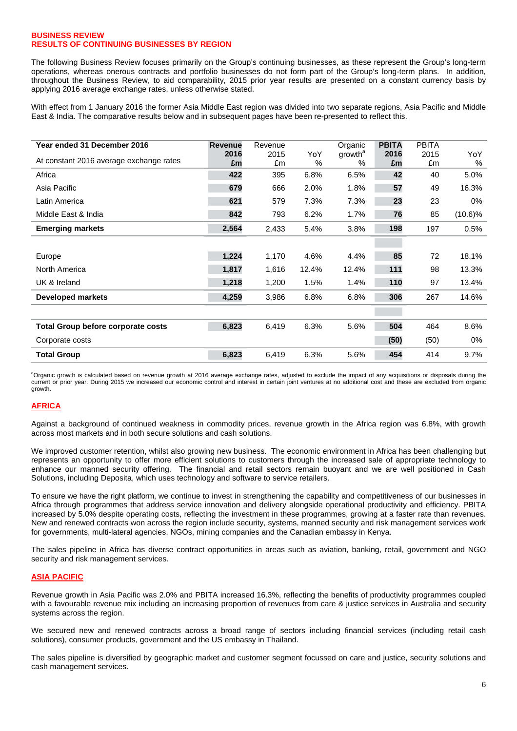### **BUSINESS REVIEW RESULTS OF CONTINUING BUSINESSES BY REGION**

 throughout the Business Review, to aid comparability, 2015 prior year results are presented on a constant currency basis by The following Business Review focuses primarily on the Group's continuing businesses, as these represent the Group's long-term operations, whereas onerous contracts and portfolio businesses do not form part of the Group's long-term plans. In addition, applying 2016 average exchange rates, unless otherwise stated.

 With effect from 1 January 2016 the former Asia Middle East region was divided into two separate regions, Asia Pacific and Middle East & India. The comparative results below and in subsequent pages have been re-presented to reflect this.

| Year ended 31 December 2016               | <b>Revenue</b> | Revenue    |             | Organic                  | <b>PBITA</b> | <b>PBITA</b> |             |
|-------------------------------------------|----------------|------------|-------------|--------------------------|--------------|--------------|-------------|
| At constant 2016 average exchange rates   | 2016<br>£m     | 2015<br>£m | YoY<br>$\%$ | growth <sup>a</sup><br>% | 2016<br>£m   | 2015<br>£m   | YoY<br>$\%$ |
| Africa                                    | 422            | 395        | 6.8%        | 6.5%                     | 42           | 40           | 5.0%        |
| Asia Pacific                              | 679            | 666        | 2.0%        | 1.8%                     | 57           | 49           | 16.3%       |
| Latin America                             | 621            | 579        | 7.3%        | 7.3%                     | 23           | 23           | 0%          |
| Middle East & India                       | 842            | 793        | 6.2%        | 1.7%                     | 76           | 85           | $(10.6)\%$  |
| <b>Emerging markets</b>                   | 2,564          | 2,433      | 5.4%        | 3.8%                     | 198          | 197          | 0.5%        |
|                                           |                |            |             |                          |              |              |             |
| Europe                                    | 1,224          | 1,170      | 4.6%        | 4.4%                     | 85           | 72           | 18.1%       |
| North America                             | 1,817          | 1,616      | 12.4%       | 12.4%                    | 111          | 98           | 13.3%       |
| UK & Ireland                              | 1,218          | 1,200      | 1.5%        | 1.4%                     | 110          | 97           | 13.4%       |
| <b>Developed markets</b>                  | 4,259          | 3,986      | 6.8%        | 6.8%                     | 306          | 267          | 14.6%       |
|                                           |                |            |             |                          |              |              |             |
| <b>Total Group before corporate costs</b> | 6,823          | 6,419      | 6.3%        | 5.6%                     | 504          | 464          | 8.6%        |
| Corporate costs                           |                |            |             |                          | (50)         | (50)         | $0\%$       |
| <b>Total Group</b>                        | 6,823          | 6,419      | 6.3%        | 5.6%                     | 454          | 414          | 9.7%        |

<sup>a</sup>Organic growth is calculated based on revenue growth at 2016 average exchange rates, adjusted to exclude the impact of any acquisitions or disposals during the current or prior year. During 2015 we increased our economic control and interest in certain joint ventures at no additional cost and these are excluded from organic growth.

### **AFRICA**

 Against a background of continued weakness in commodity prices, revenue growth in the Africa region was 6.8%, with growth across most markets and in both secure solutions and cash solutions.

We improved customer retention, whilst also growing new business. The economic environment in Africa has been challenging but represents an opportunity to offer more efficient solutions to customers through the increased sale of appropriate technology to enhance our manned security offering. The financial and retail sectors remain buoyant and we are well positioned in Cash Solutions, including Deposita, which uses technology and software to service retailers.

 To ensure we have the right platform, we continue to invest in strengthening the capability and competitiveness of our businesses in for governments, multi-lateral agencies, NGOs, mining companies and the Canadian embassy in Kenya. Africa through programmes that address service innovation and delivery alongside operational productivity and efficiency. PBITA increased by 5.0% despite operating costs, reflecting the investment in these programmes, growing at a faster rate than revenues. New and renewed contracts won across the region include security, systems, manned security and risk management services work

The sales pipeline in Africa has diverse contract opportunities in areas such as aviation, banking, retail, government and NGO security and risk management services.

### **ASIA PACIFIC**

Revenue growth in Asia Pacific was 2.0% and PBITA increased 16.3%, reflecting the benefits of productivity programmes coupled with a favourable revenue mix including an increasing proportion of revenues from care & justice services in Australia and security systems across the region.

We secured new and renewed contracts across a broad range of sectors including financial services (including retail cash solutions), consumer products, government and the US embassy in Thailand.

The sales pipeline is diversified by geographic market and customer segment focussed on care and justice, security solutions and cash management services.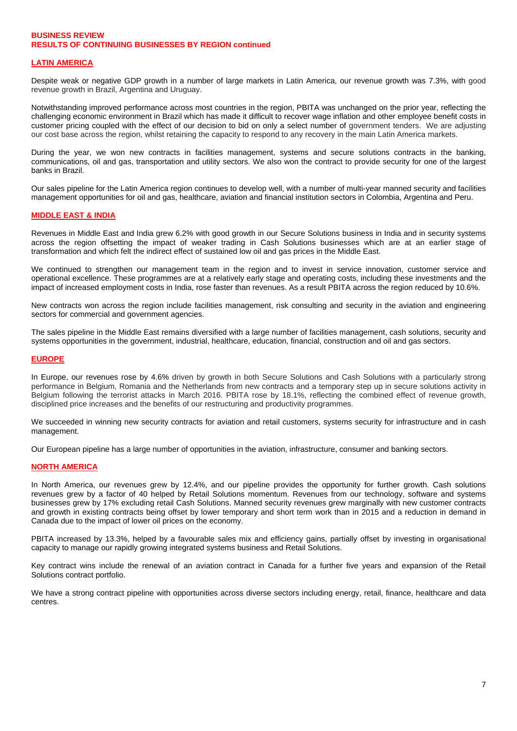### **BUSINESS REVIEW RESULTS OF CONTINUING BUSINESSES BY REGION continued**

### **LATIN AMERICA**

Despite weak or negative GDP growth in a number of large markets in Latin America, our revenue growth was 7.3%, with good revenue growth in Brazil, Argentina and Uruguay.

Notwithstanding improved performance across most countries in the region, PBITA was unchanged on the prior year, reflecting the challenging economic environment in Brazil which has made it difficult to recover wage inflation and other employee benefit costs in customer pricing coupled with the effect of our decision to bid on only a select number of government tenders. We are adjusting our cost base across the region, whilst retaining the capacity to respond to any recovery in the main Latin America markets.

During the year, we won new contracts in facilities management, systems and secure solutions contracts in the banking, communications, oil and gas, transportation and utility sectors. We also won the contract to provide security for one of the largest banks in Brazil.

Our sales pipeline for the Latin America region continues to develop well, with a number of multi-year manned security and facilities management opportunities for oil and gas, healthcare, aviation and financial institution sectors in Colombia, Argentina and Peru.

### **MIDDLE EAST & INDIA**

Revenues in Middle East and India grew 6.2% with good growth in our Secure Solutions business in India and in security systems across the region offsetting the impact of weaker trading in Cash Solutions businesses which are at an earlier stage of transformation and which felt the indirect effect of sustained low oil and gas prices in the Middle East.

We continued to strengthen our management team in the region and to invest in service innovation, customer service and operational excellence. These programmes are at a relatively early stage and operating costs, including these investments and the impact of increased employment costs in India, rose faster than revenues. As a result PBITA across the region reduced by 10.6%.

New contracts won across the region include facilities management, risk consulting and security in the aviation and engineering sectors for commercial and government agencies.

The sales pipeline in the Middle East remains diversified with a large number of facilities management, cash solutions, security and systems opportunities in the government, industrial, healthcare, education, financial, construction and oil and gas sectors.

### **EUROPE**

In Europe, our revenues rose by 4.6% driven by growth in both Secure Solutions and Cash Solutions with a particularly strong performance in Belgium, Romania and the Netherlands from new contracts and a temporary step up in secure solutions activity in Belgium following the terrorist attacks in March 2016. PBITA rose by 18.1%, reflecting the combined effect of revenue growth, disciplined price increases and the benefits of our restructuring and productivity programmes.

We succeeded in winning new security contracts for aviation and retail customers, systems security for infrastructure and in cash management.

Our European pipeline has a large number of opportunities in the aviation, infrastructure, consumer and banking sectors.

### **NORTH AMERICA**

 In North America, our revenues grew by 12.4%, and our pipeline provides the opportunity for further growth. Cash solutions revenues grew by a factor of 40 helped by Retail Solutions momentum. Revenues from our technology, software and systems businesses grew by 17% excluding retail Cash Solutions. Manned security revenues grew marginally with new customer contracts and growth in existing contracts being offset by lower temporary and short term work than in 2015 and a reduction in demand in Canada due to the impact of lower oil prices on the economy.

PBITA increased by 13.3%, helped by a favourable sales mix and efficiency gains, partially offset by investing in organisational capacity to manage our rapidly growing integrated systems business and Retail Solutions.

Key contract wins include the renewal of an aviation contract in Canada for a further five years and expansion of the Retail Solutions contract portfolio.

We have a strong contract pipeline with opportunities across diverse sectors including energy, retail, finance, healthcare and data centres.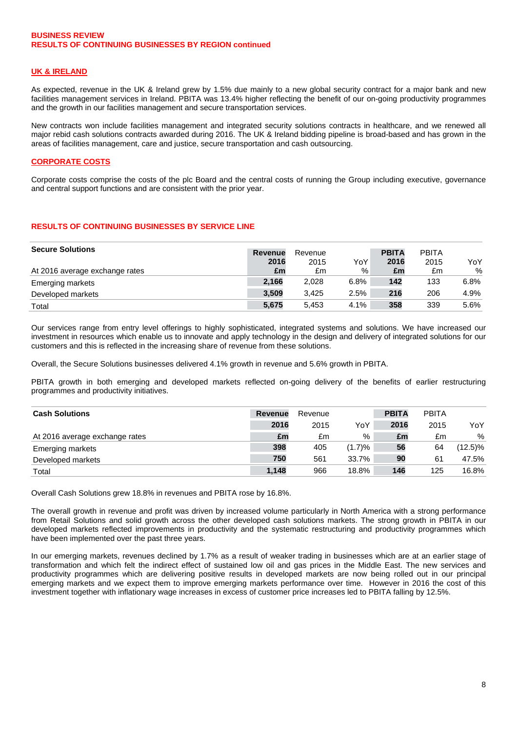### **BUSINESS REVIEW RESULTS OF CONTINUING BUSINESSES BY REGION continued**

### **UK & IRELAND**

 As expected, revenue in the UK & Ireland grew by 1.5% due mainly to a new global security contract for a major bank and new facilities management services in Ireland. PBITA was 13.4% higher reflecting the benefit of our on-going productivity programmes and the growth in our facilities management and secure transportation services.

New contracts won include facilities management and integrated security solutions contracts in healthcare, and we renewed all major rebid cash solutions contracts awarded during 2016. The UK & Ireland bidding pipeline is broad-based and has grown in the areas of facilities management, care and justice, secure transportation and cash outsourcing.

### **CORPORATE COSTS**

Corporate costs comprise the costs of the plc Board and the central costs of running the Group including executive, governance and central support functions and are consistent with the prior year.

### **RESULTS OF CONTINUING BUSINESSES BY SERVICE LINE**

| <b>Secure Solutions</b>        | <b>Revenue</b> | Revenue |      | <b>PBITA</b> | <b>PBITA</b> |      |
|--------------------------------|----------------|---------|------|--------------|--------------|------|
|                                | 2016           | 2015    | YoY  | 2016         | 2015         | YoY  |
| At 2016 average exchange rates | £m             | £m      | %    | £m           | £m           | %    |
| <b>Emerging markets</b>        | 2,166          | 2.028   | 6.8% | 142          | 133          | 6.8% |
| Developed markets              | 3.509          | 3.425   | 2.5% | 216          | 206          | 4.9% |
| Total                          | 5,675          | 5.453   | 4.1% | 358          | 339          | 5.6% |

Our services range from entry level offerings to highly sophisticated, integrated systems and solutions. We have increased our investment in resources which enable us to innovate and apply technology in the design and delivery of integrated solutions for our customers and this is reflected in the increasing share of revenue from these solutions.

Overall, the Secure Solutions businesses delivered 4.1% growth in revenue and 5.6% growth in PBITA.

 programmes and productivity initiatives. PBITA growth in both emerging and developed markets reflected on-going delivery of the benefits of earlier restructuring

| <b>Cash Solutions</b>          | <b>Revenue</b> | Revenue |        | <b>PBITA</b> | <b>PBITA</b> |            |
|--------------------------------|----------------|---------|--------|--------------|--------------|------------|
|                                | 2016           | 2015    | YoY    | 2016         | 2015         | YoY        |
| At 2016 average exchange rates | £m             | £m      | %      | £m           | £m           | %          |
| Emerging markets               | 398            | 405     | (1.7)% | 56           | 64           | $(12.5)\%$ |
| Developed markets              | 750            | 561     | 33.7%  | 90           | 61           | 47.5%      |
| Total                          | 1,148          | 966     | 18.8%  | 146          | 125          | 16.8%      |

Overall Cash Solutions grew 18.8% in revenues and PBITA rose by 16.8%.

The overall growth in revenue and profit was driven by increased volume particularly in North America with a strong performance from Retail Solutions and solid growth across the other developed cash solutions markets. The strong growth in PBITA in our developed markets reflected improvements in productivity and the systematic restructuring and productivity programmes which have been implemented over the past three years.

In our emerging markets, revenues declined by 1.7% as a result of weaker trading in businesses which are at an earlier stage of transformation and which felt the indirect effect of sustained low oil and gas prices in the Middle East. The new services and productivity programmes which are delivering positive results in developed markets are now being rolled out in our principal emerging markets and we expect them to improve emerging markets performance over time. However in 2016 the cost of this investment together with inflationary wage increases in excess of customer price increases led to PBITA falling by 12.5%.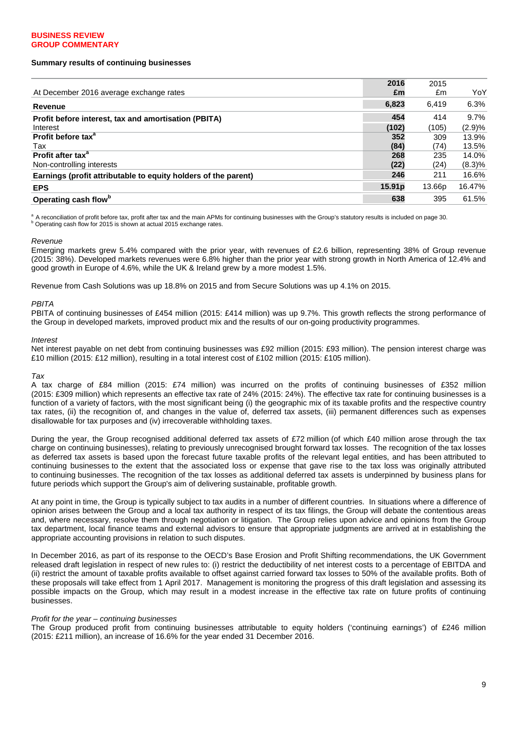### **BUSINESS REVIEW GROUP COMMENTARY**

### **Summary results of continuing businesses**

|                                                                | 2016               | 2015   |        |
|----------------------------------------------------------------|--------------------|--------|--------|
| At December 2016 average exchange rates                        | £m                 | £m     | YoY    |
| Revenue                                                        | 6,823              | 6,419  | 6.3%   |
| Profit before interest, tax and amortisation (PBITA)           | 454                | 414    | 9.7%   |
| Interest                                                       | (102)              | (105)  | (2.9)% |
| Profit before tax <sup>a</sup>                                 | 352                | 309    | 13.9%  |
| Tax                                                            | (84)               | (74)   | 13.5%  |
| Profit after tax <sup>a</sup>                                  | 268                | 235    | 14.0%  |
| Non-controlling interests                                      | (22)               | (24)   | (8.3)% |
| Earnings (profit attributable to equity holders of the parent) | 246                | 211    | 16.6%  |
| <b>EPS</b>                                                     | 15.91 <sub>p</sub> | 13.66p | 16.47% |
| Operating cash flow <sup>b</sup>                               | 638                | 395    | 61.5%  |

<sup>a</sup> A reconciliation of profit before tax, profit after tax and the main APMs for continuing businesses with the Group's statutory results is included on page 30. <sup>b</sup> Operating cash flow for 2015 is shown at actual 2015 exchange rates.

#### *Revenue*

 good growth in Europe of 4.6%, while the UK & Ireland grew by a more modest 1.5%. Emerging markets grew 5.4% compared with the prior year, with revenues of £2.6 billion, representing 38% of Group revenue (2015: 38%). Developed markets revenues were 6.8% higher than the prior year with strong growth in North America of 12.4% and

Revenue from Cash Solutions was up 18.8% on 2015 and from Secure Solutions was up 4.1% on 2015.

#### *PBITA*

PBITA of continuing businesses of £454 million (2015: £414 million) was up 9.7%. This growth reflects the strong performance of the Group in developed markets, improved product mix and the results of our on-going productivity programmes.

#### *Interest*

Net interest payable on net debt from continuing businesses was £92 million (2015: £93 million). The pension interest charge was £10 million (2015: £12 million), resulting in a total interest cost of £102 million (2015: £105 million).

#### *Tax*

A tax charge of £84 million (2015: £74 million) was incurred on the profits of continuing businesses of £352 million (2015: £309 million) which represents an effective tax rate of 24% (2015: 24%). The effective tax rate for continuing businesses is a function of a variety of factors, with the most significant being (i) the geographic mix of its taxable profits and the respective country tax rates, (ii) the recognition of, and changes in the value of, deferred tax assets, (iii) permanent differences such as expenses disallowable for tax purposes and (iv) irrecoverable withholding taxes.

During the year, the Group recognised additional deferred tax assets of £72 million (of which £40 million arose through the tax charge on continuing businesses), relating to previously unrecognised brought forward tax losses. The recognition of the tax losses as deferred tax assets is based upon the forecast future taxable profits of the relevant legal entities, and has been attributed to continuing businesses to the extent that the associated loss or expense that gave rise to the tax loss was originally attributed to continuing businesses. The recognition of the tax losses as additional deferred tax assets is underpinned by business plans for future periods which support the Group's aim of delivering sustainable, profitable growth.

At any point in time, the Group is typically subject to tax audits in a number of different countries. In situations where a difference of opinion arises between the Group and a local tax authority in respect of its tax filings, the Group will debate the contentious areas and, where necessary, resolve them through negotiation or litigation. The Group relies upon advice and opinions from the Group tax department, local finance teams and external advisors to ensure that appropriate judgments are arrived at in establishing the appropriate accounting provisions in relation to such disputes.

In December 2016, as part of its response to the OECD's Base Erosion and Profit Shifting recommendations, the UK Government released draft legislation in respect of new rules to: (i) restrict the deductibility of net interest costs to a percentage of EBITDA and (ii) restrict the amount of taxable profits available to offset against carried forward tax losses to 50% of the available profits. Both of these proposals will take effect from 1 April 2017. Management is monitoring the progress of this draft legislation and assessing its possible impacts on the Group, which may result in a modest increase in the effective tax rate on future profits of continuing businesses.

#### *Profit for the year – continuing businesses*

The Group produced profit from continuing businesses attributable to equity holders ('continuing earnings') of £246 million<br>(2015: £211 million), an increase of 16.6% for the year ended 31 December 2016.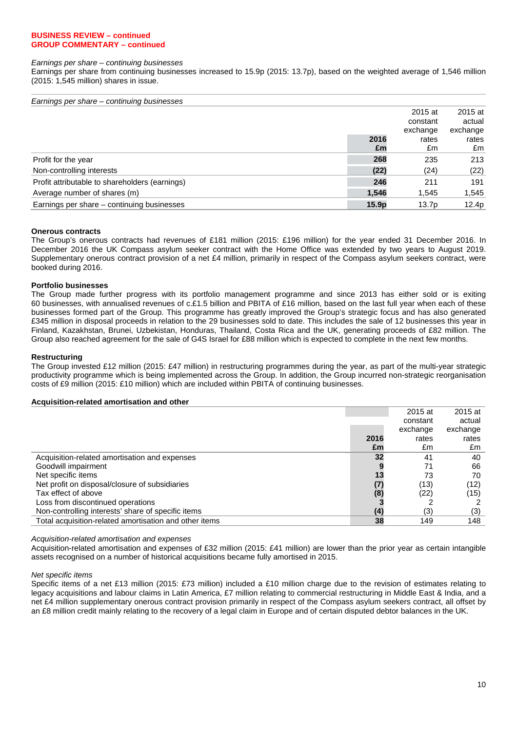### **BUSINESS REVIEW – continued GROUP COMMENTARY – continued**

#### *Earnings per share – continuing businesses*

 Earnings per share from continuing businesses increased to 15.9p (2015: 13.7p), based on the weighted average of 1,546 million (2015: 1,545 million) shares in issue.

| Earnings per share – continuing businesses     |       |                   |          |
|------------------------------------------------|-------|-------------------|----------|
|                                                |       | 2015 at           | 2015 at  |
|                                                |       | constant          | actual   |
|                                                |       | exchange          | exchange |
|                                                | 2016  | rates             | rates    |
|                                                | £m    | £m                | £m       |
| Profit for the year                            | 268   | 235               | 213      |
| Non-controlling interests                      | (22)  | (24)              | (22)     |
| Profit attributable to shareholders (earnings) | 246   | 211               | 191      |
| Average number of shares (m)                   | 1,546 | 1,545             | 1,545    |
| Earnings per share – continuing businesses     | 15.9p | 13.7 <sub>p</sub> | 12.4p    |

### **Onerous contracts**

The Group's onerous contracts had revenues of £181 million (2015: £196 million) for the year ended 31 December 2016. In December 2016 the UK Compass asylum seeker contract with the Home Office was extended by two years to August 2019. Supplementary onerous contract provision of a net £4 million, primarily in respect of the Compass asylum seekers contract, were booked during 2016.

### **Portfolio businesses**

 The Group made further progress with its portfolio management programme and since 2013 has either sold or is exiting 60 businesses, with annualised revenues of c.£1.5 billion and PBITA of £16 million, based on the last full year when each of these businesses formed part of the Group. This programme has greatly improved the Group's strategic focus and has also generated £345 million in disposal proceeds in relation to the 29 businesses sold to date. This includes the sale of 12 businesses this year in Finland, Kazakhstan, Brunei, Uzbekistan, Honduras, Thailand, Costa Rica and the UK, generating proceeds of £82 million. The Group also reached agreement for the sale of G4S Israel for £88 million which is expected to complete in the next few months.

### **Restructuring**

The Group invested £12 million (2015: £47 million) in restructuring programmes during the year, as part of the multi-year strategic productivity programme which is being implemented across the Group. In addition, the Group incurred non-strategic reorganisation costs of £9 million (2015: £10 million) which are included within PBITA of continuing businesses.

### **Acquisition-related amortisation and other**

|                                                        |      | 2015 at  | 2015 at  |
|--------------------------------------------------------|------|----------|----------|
|                                                        |      | constant | actual   |
|                                                        |      | exchange | exchange |
|                                                        | 2016 | rates    | rates    |
|                                                        | £m   | £m       | £m       |
| Acquisition-related amortisation and expenses          | 32   | 41       | 40       |
| Goodwill impairment                                    |      | 71       | 66       |
| Net specific items                                     | 13   | 73       | 70       |
| Net profit on disposal/closure of subsidiaries         |      | (13)     | (12)     |
| Tax effect of above                                    | (8)  | (22)     | (15)     |
| Loss from discontinued operations                      |      |          |          |
| Non-controlling interests' share of specific items     | (4)  | (3)      | (3)      |
| Total acquisition-related amortisation and other items | 38   | 149      | 148      |
|                                                        |      |          |          |

*Acquisition-related amortisation and expenses* 

 Acquisition-related amortisation and expenses of £32 million (2015: £41 million) are lower than the prior year as certain intangible assets recognised on a number of historical acquisitions became fully amortised in 2015.

#### *Net specific items*

Specific items of a net £13 million (2015: £73 million) included a £10 million charge due to the revision of estimates relating to legacy acquisitions and labour claims in Latin America, £7 million relating to commercial restructuring in Middle East & India, and a net £4 million supplementary onerous contract provision primarily in respect of the Compass asylum seekers contract, all offset by an £8 million credit mainly relating to the recovery of a legal claim in Europe and of certain disputed debtor balances in the UK.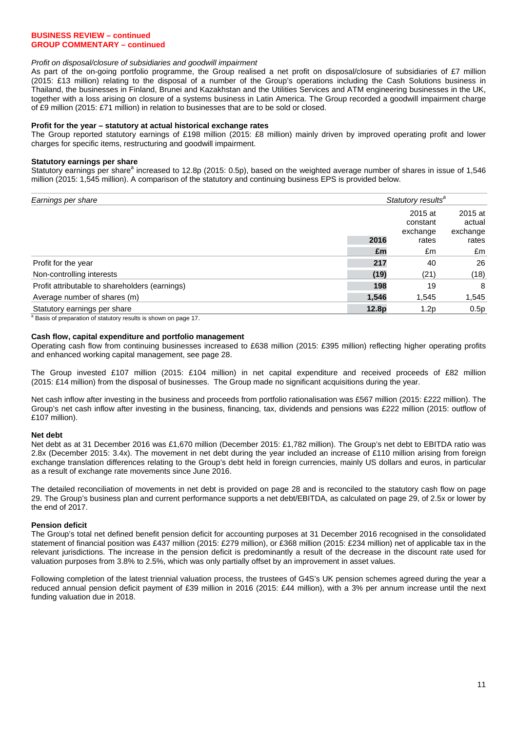### **BUSINESS REVIEW – continued GROUP COMMENTARY – continued**

### *Profit on disposal/closure of subsidiaries and goodwill impairment*

As part of the on-going portfolio programme, the Group realised a net profit on disposal/closure of subsidiaries of £7 million (2015: £13 million) relating to the disposal of a number of the Group's operations including the Cash Solutions business in Thailand, the businesses in Finland, Brunei and Kazakhstan and the Utilities Services and ATM engineering businesses in the UK, together with a loss arising on closure of a systems business in Latin America. The Group recorded a goodwill impairment charge of £9 million (2015: £71 million) in relation to businesses that are to be sold or closed.

### **Profit for the year – statutory at actual historical exchange rates**

The Group reported statutory earnings of £198 million (2015: £8 million) mainly driven by improved operating profit and lower charges for specific items, restructuring and goodwill impairment.

### **Statutory earnings per share**

Statutory earnings per share<sup>a</sup> increased to 12.8p (2015: 0.5p), based on the weighted average number of shares in issue of 1,546 million (2015: 1,545 million). A comparison of the statutory and continuing business EPS is provided below.

| Earnings per share                                                          |       | Statutory results <sup>a</sup> |          |  |  |  |  |
|-----------------------------------------------------------------------------|-------|--------------------------------|----------|--|--|--|--|
|                                                                             |       | 2015 at                        | 2015 at  |  |  |  |  |
|                                                                             |       | constant                       | actual   |  |  |  |  |
|                                                                             |       | exchange                       | exchange |  |  |  |  |
|                                                                             | 2016  | rates                          | rates    |  |  |  |  |
|                                                                             | £m    | £m                             | £m       |  |  |  |  |
| Profit for the year                                                         | 217   | 40                             | 26       |  |  |  |  |
| Non-controlling interests                                                   | (19)  | (21)                           | (18)     |  |  |  |  |
| Profit attributable to shareholders (earnings)                              | 198   | 19                             | 8        |  |  |  |  |
| Average number of shares (m)                                                | 1,546 | 1,545                          | 1,545    |  |  |  |  |
| Statutory earnings per share                                                | 12.8p | 1.2p                           | 0.5p     |  |  |  |  |
| <sup>a</sup> Basis of preparation of statutory results is shown on page 17. |       |                                |          |  |  |  |  |

### **Cash flow, capital expenditure and portfolio management**

Operating cash flow from continuing businesses increased to £638 million (2015: £395 million) reflecting higher operating profits and enhanced working capital management, see page 28.

 The Group invested £107 million (2015: £104 million) in net capital expenditure and received proceeds of £82 million (2015: £14 million) from the disposal of businesses. The Group made no significant acquisitions during the year.

Net cash inflow after investing in the business and proceeds from portfolio rationalisation was £567 million (2015: £222 million). The Group's net cash inflow after investing in the business, financing, tax, dividends and pensions was £222 million (2015: outflow of £107 million).

### **Net debt**

Net debt as at 31 December 2016 was £1,670 million (December 2015: £1,782 million). The Group's net debt to EBITDA ratio was 2.8x (December 2015: 3.4x). The movement in net debt during the year included an increase of £110 million arising from foreign exchange translation differences relating to the Group's debt held in foreign currencies, mainly US dollars and euros, in particular as a result of exchange rate movements since June 2016.

The detailed reconciliation of movements in net debt is provided on page 28 and is reconciled to the statutory cash flow on page 29. The Group's business plan and current performance supports a net debt/EBITDA, as calculated on page 29, of 2.5x or lower by the end of 2017.

### **Pension deficit**

The Group's total net defined benefit pension deficit for accounting purposes at 31 December 2016 recognised in the consolidated statement of financial position was £437 million (2015: £279 million), or £368 million (2015: £234 million) net of applicable tax in the relevant jurisdictions. The increase in the pension deficit is predominantly a result of the decrease in the discount rate used for valuation purposes from 3.8% to 2.5%, which was only partially offset by an improvement in asset values.

Following completion of the latest triennial valuation process, the trustees of G4S's UK pension schemes agreed during the year a reduced annual pension deficit payment of £39 million in 2016 (2015: £44 million), with a 3% per annum increase until the next funding valuation due in 2018.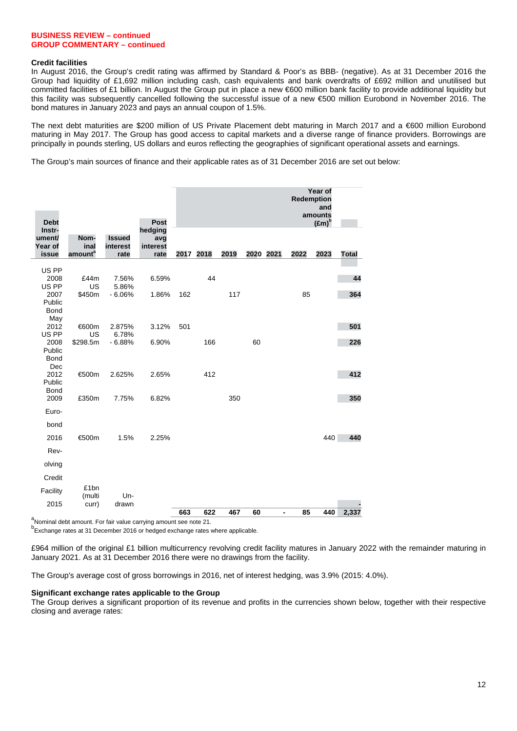### **BUSINESS REVIEW – continued GROUP COMMENTARY – continued**

### **Credit facilities**

In August 2016, the Group's credit rating was affirmed by Standard & Poor's as BBB- (negative). As at 31 December 2016 the Group had liquidity of £1,692 million including cash, cash equivalents and bank overdrafts of £692 million and unutilised but committed facilities of £1 billion. In August the Group put in place a new €600 million bank facility to provide additional liquidity but this facility was subsequently cancelled following the successful issue of a new €500 million Eurobond in November 2016. The bond matures in January 2023 and pays an annual coupon of 1.5%.

The next debt maturities are \$200 million of US Private Placement debt maturing in March 2017 and a €600 million Eurobond maturing in May 2017. The Group has good access to capital markets and a diverse range of finance providers. Borrowings are principally in pounds sterling, US dollars and euros reflecting the geographies of significant operational assets and earnings.

The Group's main sources of finance and their applicable rates as of 31 December 2016 are set out below:

| <b>Debt</b>                          |                                                                               |                                   | Post                               |     |           |      |           |                          | Redemption | Year of<br>and<br>amounts<br>$(\text{Em})^b$ |              |
|--------------------------------------|-------------------------------------------------------------------------------|-----------------------------------|------------------------------------|-----|-----------|------|-----------|--------------------------|------------|----------------------------------------------|--------------|
| Instr-<br>ument/<br>Year of<br>issue | Nom-<br>inal<br>amount <sup>a</sup>                                           | <b>Issued</b><br>interest<br>rate | hedging<br>avg<br>interest<br>rate |     | 2017 2018 | 2019 | 2020 2021 |                          | 2022       | 2023                                         | <b>Total</b> |
| US PP<br>2008<br>US PP               | £44m<br>US                                                                    | 7.56%<br>5.86%                    | 6.59%                              |     | 44        |      |           |                          |            |                                              | 44           |
| 2007<br>Public<br><b>Bond</b><br>May | \$450m                                                                        | $-6.06%$                          | 1.86%                              | 162 |           | 117  |           |                          | 85         |                                              | 364          |
| 2012<br>US PP                        | €600m<br>US                                                                   | 2.875%<br>6.78%                   | 3.12%                              | 501 |           |      |           |                          |            |                                              | 501          |
| 2008<br>Public<br><b>Bond</b><br>Dec | \$298.5m                                                                      | $-6.88%$                          | 6.90%                              |     | 166       |      | 60        |                          |            |                                              | 226          |
| 2012<br>Public<br><b>Bond</b>        | €500m                                                                         | 2.625%                            | 2.65%                              |     | 412       |      |           |                          |            |                                              | 412          |
| 2009<br>Euro-                        | £350m                                                                         | 7.75%                             | 6.82%                              |     |           | 350  |           |                          |            |                                              | 350          |
| bond                                 |                                                                               |                                   |                                    |     |           |      |           |                          |            |                                              |              |
| 2016                                 | €500m                                                                         | 1.5%                              | 2.25%                              |     |           |      |           |                          |            | 440                                          | 440          |
| Rev-                                 |                                                                               |                                   |                                    |     |           |      |           |                          |            |                                              |              |
| olving                               |                                                                               |                                   |                                    |     |           |      |           |                          |            |                                              |              |
| Credit                               |                                                                               |                                   |                                    |     |           |      |           |                          |            |                                              |              |
| Facility                             | £1bn                                                                          | Un-                               |                                    |     |           |      |           |                          |            |                                              |              |
| 2015                                 | (multi<br>curr)                                                               | drawn                             |                                    |     |           |      |           |                          |            |                                              |              |
|                                      | <sup>a</sup> Nominal debt amount. For fair value carrying amount see note 21. |                                   |                                    | 663 | 622       | 467  | 60        | $\overline{\phantom{a}}$ | 85         | 440                                          | 2,337        |

b<br>Exchange rates at 31 December 2016 or hedged exchange rates where applicable.

January 2021, As at 31 December 2016 there were no drawings from the facility. £964 million of the original £1 billion multicurrency revolving credit facility matures in January 2022 with the remainder maturing in

The Group's average cost of gross borrowings in 2016, net of interest hedging, was 3.9% (2015: 4.0%).

### **Significant exchange rates applicable to the Group**

The Group derives a significant proportion of its revenue and profits in the currencies shown below, together with their respective closing and average rates: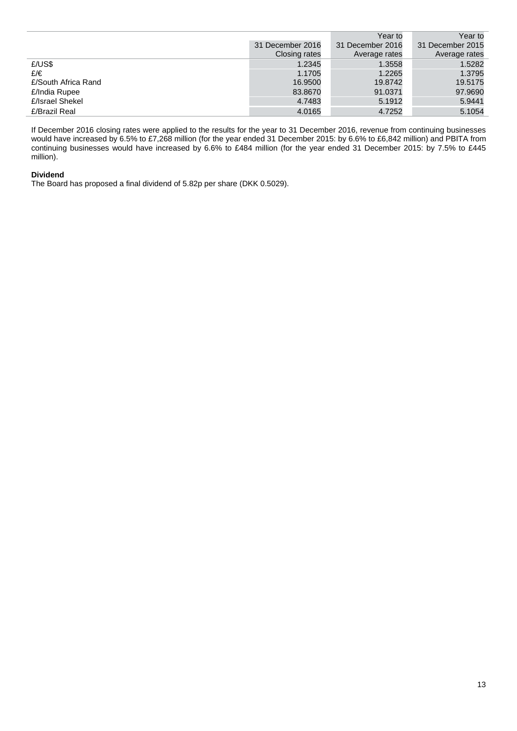|                     |                  | Year to          | Year to          |
|---------------------|------------------|------------------|------------------|
|                     | 31 December 2016 | 31 December 2016 | 31 December 2015 |
|                     | Closing rates    | Average rates    | Average rates    |
| £/US\$              | 1.2345           | 1.3558           | 1.5282           |
| £/€                 | 1.1705           | 1.2265           | 1.3795           |
| £/South Africa Rand | 16.9500          | 19.8742          | 19.5175          |
| £/India Rupee       | 83.8670          | 91.0371          | 97.9690          |
| £/Israel Shekel     | 4.7483           | 5.1912           | 5.9441           |
| £/Brazil Real       | 4.0165           | 4.7252           | 5.1054           |

If December 2016 closing rates were applied to the results for the year to 31 December 2016, revenue from continuing businesses would have increased by 6.5% to £7,268 million (for the year ended 31 December 2015: by 6.6% to £6,842 million) and PBITA from continuing businesses would have increased by 6.6% to £484 million (for the year ended 31 December 2015: by 7.5% to £445 million).

### **Dividend**

The Board has proposed a final dividend of 5.82p per share (DKK 0.5029).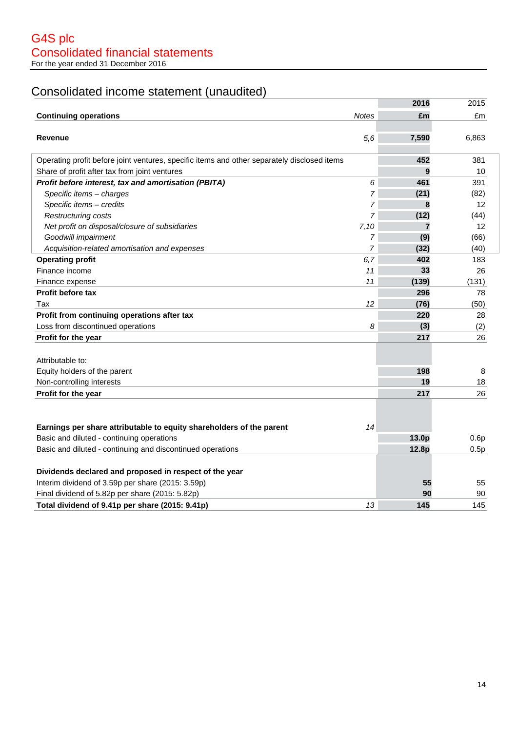# Consolidated income statement (unaudited)

|                                                                                             |                | 2016  | 2015  |
|---------------------------------------------------------------------------------------------|----------------|-------|-------|
| <b>Continuing operations</b>                                                                | <b>Notes</b>   | £m    | £m    |
|                                                                                             |                |       |       |
| <b>Revenue</b>                                                                              | 5,6            | 7,590 | 6,863 |
|                                                                                             |                |       |       |
| Operating profit before joint ventures, specific items and other separately disclosed items |                | 452   | 381   |
| Share of profit after tax from joint ventures                                               |                | 9     | 10    |
| Profit before interest, tax and amortisation (PBITA)                                        | 6              | 461   | 391   |
| Specific items - charges                                                                    | 7              | (21)  | (82)  |
| Specific items - credits                                                                    | 7              | 8     | 12    |
| <b>Restructuring costs</b>                                                                  | 7              | (12)  | (44)  |
| Net profit on disposal/closure of subsidiaries                                              | 7,10           | 7     | 12    |
| Goodwill impairment                                                                         | 7              | (9)   | (66)  |
| Acquisition-related amortisation and expenses                                               | $\overline{7}$ | (32)  | (40)  |
| <b>Operating profit</b>                                                                     | 6,7            | 402   | 183   |
| Finance income                                                                              | 11             | 33    | 26    |
| Finance expense                                                                             | 11             | (139) | (131) |
| <b>Profit before tax</b>                                                                    |                | 296   | 78    |
| Tax                                                                                         | 12             | (76)  | (50)  |
| Profit from continuing operations after tax                                                 |                | 220   | 28    |
| Loss from discontinued operations                                                           | 8              | (3)   | (2)   |
| Profit for the year                                                                         |                | 217   | 26    |
|                                                                                             |                |       |       |
| Attributable to:                                                                            |                |       |       |
| Equity holders of the parent                                                                |                | 198   | 8     |
| Non-controlling interests                                                                   |                | 19    | 18    |
| Profit for the year                                                                         |                | 217   | 26    |
|                                                                                             |                |       |       |
|                                                                                             |                |       |       |
| Earnings per share attributable to equity shareholders of the parent                        | 14             |       |       |
| Basic and diluted - continuing operations                                                   |                | 13.0p | 0.6p  |
| Basic and diluted - continuing and discontinued operations                                  |                | 12.8p | 0.5p  |
|                                                                                             |                |       |       |
| Dividends declared and proposed in respect of the year                                      |                |       |       |
| Interim dividend of 3.59p per share (2015: 3.59p)                                           |                | 55    | 55    |
| Final dividend of 5.82p per share (2015: 5.82p)                                             |                | 90    | 90    |
| Total dividend of 9.41p per share (2015: 9.41p)                                             | 13             | 145   | 145   |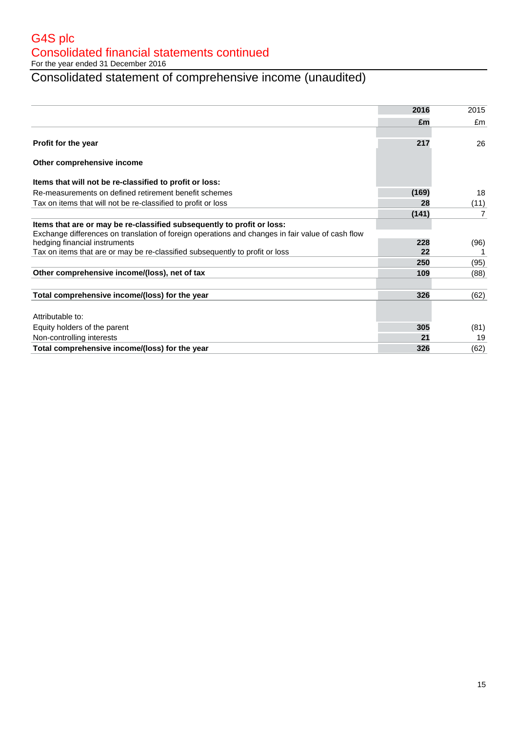G4S plc Consolidated financial statements continued

For the year ended 31 December 2016

# Consolidated statement of comprehensive income (unaudited)

|                                                                                                  | 2016  | 2015 |
|--------------------------------------------------------------------------------------------------|-------|------|
|                                                                                                  | £m    | £m   |
|                                                                                                  |       |      |
| Profit for the year                                                                              | 217   | 26   |
| Other comprehensive income                                                                       |       |      |
| Items that will not be re-classified to profit or loss:                                          |       |      |
| Re-measurements on defined retirement benefit schemes                                            | (169) | 18   |
| Tax on items that will not be re-classified to profit or loss                                    | 28    | (11) |
|                                                                                                  | (141) | 7    |
| Items that are or may be re-classified subsequently to profit or loss:                           |       |      |
| Exchange differences on translation of foreign operations and changes in fair value of cash flow |       |      |
| hedging financial instruments                                                                    | 228   | (96) |
| Tax on items that are or may be re-classified subsequently to profit or loss                     | 22    |      |
|                                                                                                  | 250   | (95) |
| Other comprehensive income/(loss), net of tax                                                    | 109   | (88) |
| Total comprehensive income/(loss) for the year                                                   | 326   | (62) |
|                                                                                                  |       |      |
| Attributable to:                                                                                 |       |      |
| Equity holders of the parent                                                                     | 305   | (81) |
| Non-controlling interests                                                                        | 21    | 19   |
| Total comprehensive income/(loss) for the year                                                   | 326   | (62) |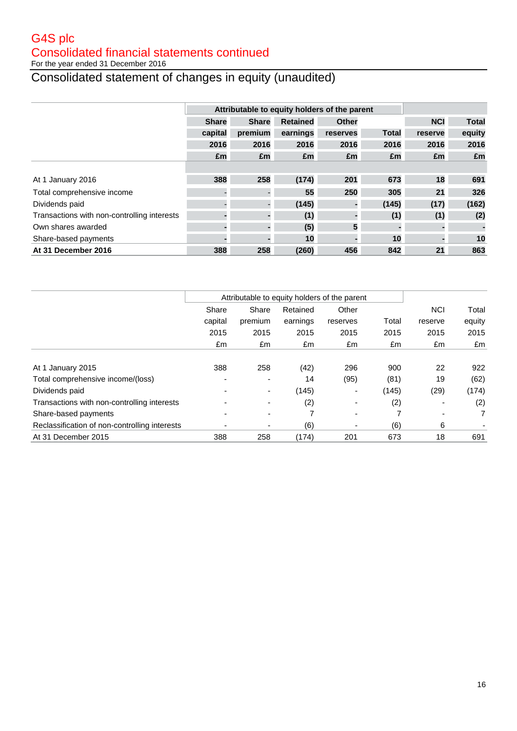# G4S plc Consolidated financial statements continued

For the year ended 31 December 2016

# Consolidated statement of changes in equity (unaudited)

|                                             |              | Attributable to equity holders of the parent |                 |          |              |            |              |
|---------------------------------------------|--------------|----------------------------------------------|-----------------|----------|--------------|------------|--------------|
|                                             | <b>Share</b> | <b>Share</b>                                 | <b>Retained</b> | Other    |              | <b>NCI</b> | <b>Total</b> |
|                                             | capital      | premium                                      | earnings        | reserves | <b>Total</b> | reserve    | equity       |
|                                             | 2016         | 2016                                         | 2016            | 2016     | 2016         | 2016       | 2016         |
|                                             | £m           | £m                                           | £m              | £m       | £m           | £m         | £m           |
|                                             |              |                                              |                 |          |              |            |              |
| At 1 January 2016                           | 388          | 258                                          | (174)           | 201      | 673          | 18         | 691          |
| Total comprehensive income                  |              |                                              | 55              | 250      | 305          | 21         | 326          |
| Dividends paid                              |              |                                              | (145)           |          | (145)        | (17)       | (162)        |
| Transactions with non-controlling interests |              |                                              | (1)             |          | (1)          | (1)        | (2)          |
| Own shares awarded                          |              |                                              | (5)             | 5        |              |            |              |
| Share-based payments                        |              |                                              | 10              |          | 10           |            | 10           |
| At 31 December 2016                         | 388          | 258                                          | (260)           | 456      | 842          | 21         | 863          |

|                                               | Attributable to equity holders of the parent |                          |          |                          |       |            |                |
|-----------------------------------------------|----------------------------------------------|--------------------------|----------|--------------------------|-------|------------|----------------|
|                                               | Share                                        | Share                    | Retained | Other                    |       | <b>NCI</b> | Total          |
|                                               | capital                                      | premium                  | earnings | reserves                 | Total | reserve    | equity         |
|                                               | 2015                                         | 2015                     | 2015     | 2015                     | 2015  | 2015       | 2015           |
|                                               | £m                                           | £m                       | £m       | £m                       | £m    | £m         | £m             |
|                                               |                                              |                          |          |                          |       |            |                |
| At 1 January 2015                             | 388                                          | 258                      | (42)     | 296                      | 900   | 22         | 922            |
| Total comprehensive income/(loss)             |                                              | $\overline{\phantom{0}}$ | 14       | (95)                     | (81)  | 19         | (62)           |
| Dividends paid                                |                                              | ۰                        | (145)    | $\overline{\phantom{0}}$ | (145) | (29)       | (174)          |
| Transactions with non-controlling interests   |                                              |                          | (2)      |                          | (2)   |            | (2)            |
| Share-based payments                          |                                              |                          | 7        |                          | 7     |            | $\overline{7}$ |
| Reclassification of non-controlling interests |                                              | ۰                        | (6)      | $\overline{\phantom{0}}$ | (6)   | 6          |                |
| At 31 December 2015                           | 388                                          | 258                      | (174)    | 201                      | 673   | 18         | 691            |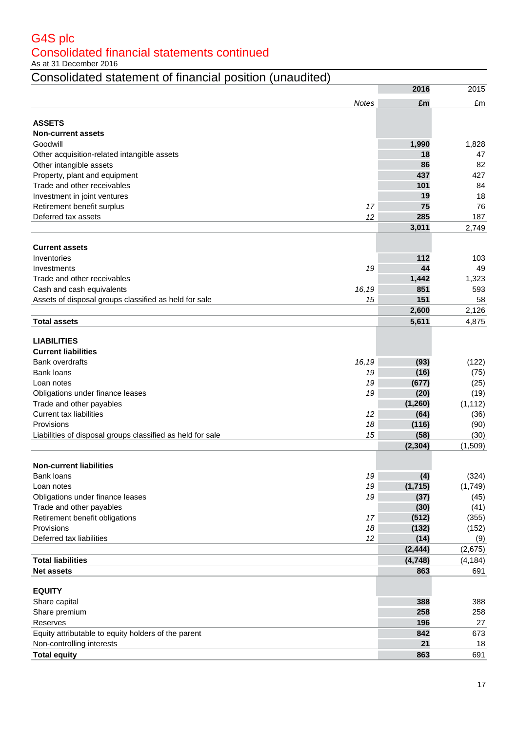# G4S plc Consolidated financial statements continued

As at 31 December 2016

# Consolidated statement of financial position (unaudited)

|                                                                  | 2016       | 2015      |
|------------------------------------------------------------------|------------|-----------|
| <b>Notes</b>                                                     | £m         | £m        |
|                                                                  |            |           |
| <b>ASSETS</b>                                                    |            |           |
| <b>Non-current assets</b>                                        |            |           |
| Goodwill                                                         | 1,990      | 1,828     |
| Other acquisition-related intangible assets                      | 18         | 47        |
| Other intangible assets                                          | 86         | 82        |
| Property, plant and equipment<br>Trade and other receivables     | 437<br>101 | 427<br>84 |
|                                                                  |            |           |
| Investment in joint ventures<br>17                               | 19<br>75   | 18<br>76  |
| Retirement benefit surplus<br>12<br>Deferred tax assets          | 285        | 187       |
|                                                                  | 3,011      | 2,749     |
|                                                                  |            |           |
| <b>Current assets</b>                                            |            |           |
| Inventories                                                      | 112        | 103       |
| 19<br>Investments                                                | 44         | 49        |
| Trade and other receivables                                      | 1,442      | 1,323     |
| Cash and cash equivalents<br>16,19                               | 851        | 593       |
| Assets of disposal groups classified as held for sale<br>15      | 151        | 58        |
|                                                                  | 2,600      | 2,126     |
| <b>Total assets</b>                                              | 5,611      | 4,875     |
|                                                                  |            |           |
| <b>LIABILITIES</b>                                               |            |           |
| <b>Current liabilities</b>                                       |            |           |
| <b>Bank overdrafts</b><br>16,19                                  | (93)       | (122)     |
| Bank loans<br>19                                                 | (16)       | (75)      |
| 19<br>Loan notes                                                 | (677)      | (25)      |
| 19<br>Obligations under finance leases                           | (20)       | (19)      |
| Trade and other payables                                         | (1,260)    | (1, 112)  |
| <b>Current tax liabilities</b><br>12                             | (64)       | (36)      |
| Provisions<br>18                                                 | (116)      | (90)      |
| 15<br>Liabilities of disposal groups classified as held for sale | (58)       | (30)      |
|                                                                  | (2, 304)   | (1,509)   |
| <b>Non-current liabilities</b>                                   |            |           |
| Bank loans<br>19                                                 | (4)        | (324)     |
| 19<br>Loan notes                                                 | (1,715)    | (1,749)   |
| Obligations under finance leases<br>19                           | (37)       | (45)      |
| Trade and other payables                                         | (30)       | (41)      |
| Retirement benefit obligations<br>17                             | (512)      | (355)     |
| Provisions<br>18                                                 | (132)      | (152)     |
| 12<br>Deferred tax liabilities                                   | (14)       | (9)       |
|                                                                  | (2, 444)   | (2,675)   |
| <b>Total liabilities</b>                                         | (4, 748)   | (4, 184)  |
| <b>Net assets</b>                                                | 863        | 691       |
|                                                                  |            |           |
| <b>EQUITY</b>                                                    |            |           |
| Share capital                                                    | 388        | 388       |
| Share premium                                                    | 258        | 258       |
| Reserves                                                         | 196        | 27        |
| Equity attributable to equity holders of the parent              | 842        | 673       |
| Non-controlling interests                                        | 21         | 18        |
| <b>Total equity</b>                                              | 863        | 691       |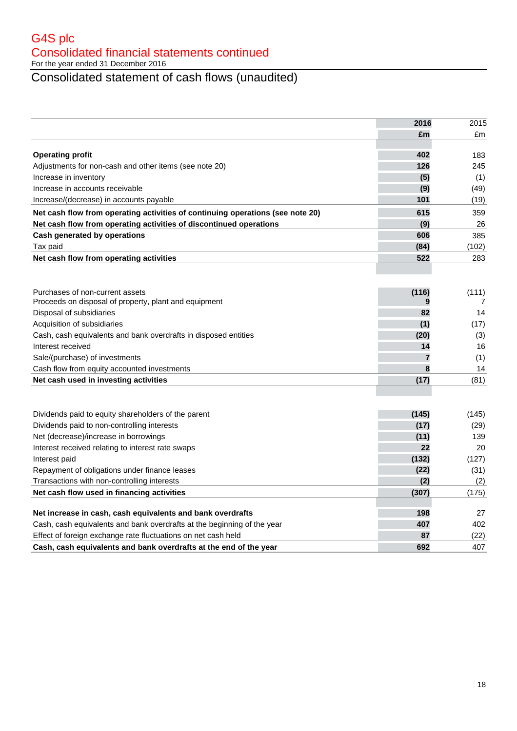G4S plc Consolidated financial statements continued For the year ended 31 December 2016

# Consolidated statement of cash flows (unaudited)

|                                                                                | 2016  | 2015  |
|--------------------------------------------------------------------------------|-------|-------|
|                                                                                | £m    | £m    |
|                                                                                |       |       |
| <b>Operating profit</b>                                                        | 402   | 183   |
| Adjustments for non-cash and other items (see note 20)                         | 126   | 245   |
| Increase in inventory                                                          | (5)   | (1)   |
| Increase in accounts receivable                                                | (9)   | (49)  |
| Increase/(decrease) in accounts payable                                        | 101   | (19)  |
| Net cash flow from operating activities of continuing operations (see note 20) | 615   | 359   |
| Net cash flow from operating activities of discontinued operations             | (9)   | 26    |
| Cash generated by operations                                                   | 606   | 385   |
| Tax paid                                                                       | (84)  | (102) |
| Net cash flow from operating activities                                        | 522   | 283   |
|                                                                                |       |       |
|                                                                                |       |       |
| Purchases of non-current assets                                                | (116) | (111) |
| Proceeds on disposal of property, plant and equipment                          | 9     | 7     |
| Disposal of subsidiaries                                                       | 82    | 14    |
| Acquisition of subsidiaries                                                    | (1)   | (17)  |
| Cash, cash equivalents and bank overdrafts in disposed entities                | (20)  | (3)   |
| Interest received                                                              | 14    | 16    |
| Sale/(purchase) of investments                                                 | 7     | (1)   |
| Cash flow from equity accounted investments                                    | 8     | 14    |
| Net cash used in investing activities                                          | (17)  | (81)  |
|                                                                                |       |       |
|                                                                                |       |       |
| Dividends paid to equity shareholders of the parent                            | (145) | (145) |
| Dividends paid to non-controlling interests                                    | (17)  | (29)  |
| Net (decrease)/increase in borrowings                                          | (11)  | 139   |
| Interest received relating to interest rate swaps                              | 22    | 20    |
| Interest paid                                                                  | (132) | (127) |
| Repayment of obligations under finance leases                                  | (22)  | (31)  |
| Transactions with non-controlling interests                                    | (2)   | (2)   |
| Net cash flow used in financing activities                                     | (307) | (175) |
| Net increase in cash, cash equivalents and bank overdrafts                     | 198   | 27    |
| Cash, cash equivalents and bank overdrafts at the beginning of the year        | 407   | 402   |
| Effect of foreign exchange rate fluctuations on net cash held                  | 87    |       |
|                                                                                | 692   | (22)  |
| Cash, cash equivalents and bank overdrafts at the end of the year              |       | 407   |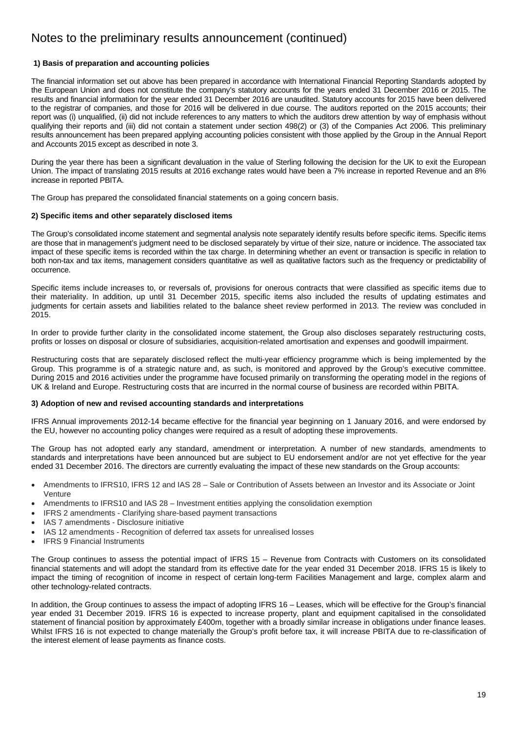### **1) Basis of preparation and accounting policies**

 the European Union and does not constitute the company's statutory accounts for the years ended 31 December 2016 or 2015. The results and financial information for the year ended 31 December 2016 are unaudited. Statutory accounts for 2015 have been delivered report was (i) unqualified, (ii) did not include references to any matters to which the auditors drew attention by way of emphasis without results announcement has been prepared applying accounting policies consistent with those applied by the Group in the Annual Report The financial information set out above has been prepared in accordance with International Financial Reporting Standards adopted by to the registrar of companies, and those for 2016 will be delivered in due course. The auditors reported on the 2015 accounts; their qualifying their reports and (iii) did not contain a statement under section 498(2) or (3) of the Companies Act 2006. This preliminary and Accounts 2015 except as described in note 3.

 During the year there has been a significant devaluation in the value of Sterling following the decision for the UK to exit the European Union. The impact of translating 2015 results at 2016 exchange rates would have been a 7% increase in reported Revenue and an 8% increase in reported PBITA.

The Group has prepared the consolidated financial statements on a going concern basis.

### **2) Specific items and other separately disclosed items**

 The Group's consolidated income statement and segmental analysis note separately identify results before specific items. Specific items are those that in management's judgment need to be disclosed separately by virtue of their size, nature or incidence. The associated tax both non-tax and tax items, management considers quantitative as well as qualitative factors such as the frequency or predictability of impact of these specific items is recorded within the tax charge. In determining whether an event or transaction is specific in relation to occurrence.

Specific items include increases to, or reversals of, provisions for onerous contracts that were classified as specific items due to their materiality. In addition, up until 31 December 2015, specific items also included the results of updating estimates and judgments for certain assets and liabilities related to the balance sheet review performed in 2013. The review was concluded in 2015.

In order to provide further clarity in the consolidated income statement, the Group also discloses separately restructuring costs, profits or losses on disposal or closure of subsidiaries, acquisition-related amortisation and expenses and goodwill impairment.

Restructuring costs that are separately disclosed reflect the multi-year efficiency programme which is being implemented by the Group. This programme is of a strategic nature and, as such, is monitored and approved by the Group's executive committee. During 2015 and 2016 activities under the programme have focused primarily on transforming the operating model in the regions of UK & Ireland and Europe. Restructuring costs that are incurred in the normal course of business are recorded within PBITA.

### **3) Adoption of new and revised accounting standards and interpretations**

IFRS Annual improvements 2012-14 became effective for the financial year beginning on 1 January 2016, and were endorsed by the EU, however no accounting policy changes were required as a result of adopting these improvements.

The Group has not adopted early any standard, amendment or interpretation. A number of new standards, amendments to standards and interpretations have been announced but are subject to EU endorsement and/or are not yet effective for the year ended 31 December 2016. The directors are currently evaluating the impact of these new standards on the Group accounts:

- Amendments to IFRS10, IFRS 12 and IAS 28 Sale or Contribution of Assets between an Investor and its Associate or Joint Venture
- Amendments to IFRS10 and IAS 28 Investment entities applying the consolidation exemption
- IFRS 2 amendments Clarifying share-based payment transactions
- IAS 7 amendments Disclosure initiative
- IAS 12 amendments Recognition of deferred tax assets for unrealised losses
- IFRS 9 Financial Instruments

 financial statements and will adopt the standard from its effective date for the year ended 31 December 2018. IFRS 15 is likely to The Group continues to assess the potential impact of IFRS 15 – Revenue from Contracts with Customers on its consolidated impact the timing of recognition of income in respect of certain long-term Facilities Management and large, complex alarm and other technology-related contracts.

In addition, the Group continues to assess the impact of adopting IFRS 16 – Leases, which will be effective for the Group's financial year ended 31 December 2019. IFRS 16 is expected to increase property, plant and equipment capitalised in the consolidated statement of financial position by approximately £400m, together with a broadly similar increase in obligations under finance leases. Whilst IFRS 16 is not expected to change materially the Group's profit before tax, it will increase PBITA due to re-classification of the interest element of lease payments as finance costs.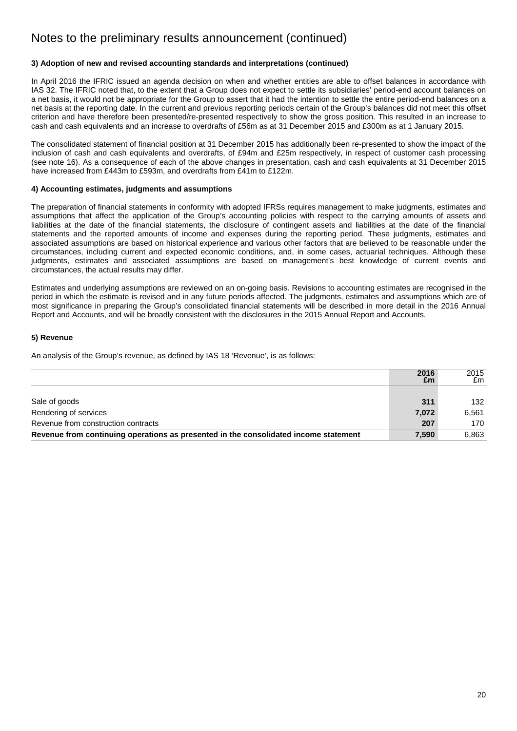### **3) Adoption of new and revised accounting standards and interpretations (continued)**

In April 2016 the IFRIC issued an agenda decision on when and whether entities are able to offset balances in accordance with net basis at the reporting date. In the current and previous reporting periods certain of the Group's balances did not meet this offset IAS 32. The IFRIC noted that, to the extent that a Group does not expect to settle its subsidiaries' period-end account balances on a net basis, it would not be appropriate for the Group to assert that it had the intention to settle the entire period-end balances on a criterion and have therefore been presented/re-presented respectively to show the gross position. This resulted in an increase to cash and cash equivalents and an increase to overdrafts of £56m as at 31 December 2015 and £300m as at 1 January 2015.

The consolidated statement of financial position at 31 December 2015 has additionally been re-presented to show the impact of the inclusion of cash and cash equivalents and overdrafts, of £94m and £25m respectively, in respect of customer cash processing (see note 16). As a consequence of each of the above changes in presentation, cash and cash equivalents at 31 December 2015 have increased from £443m to £593m, and overdrafts from £41m to £122m.

### **4) Accounting estimates, judgments and assumptions**

The preparation of financial statements in conformity with adopted IFRSs requires management to make judgments, estimates and assumptions that affect the application of the Group's accounting policies with respect to the carrying amounts of assets and liabilities at the date of the financial statements, the disclosure of contingent assets and liabilities at the date of the financial statements and the reported amounts of income and expenses during the reporting period. These judgments, estimates and associated assumptions are based on historical experience and various other factors that are believed to be reasonable under the circumstances, including current and expected economic conditions, and, in some cases, actuarial techniques. Although these judgments, estimates and associated assumptions are based on management's best knowledge of current events and circumstances, the actual results may differ.

Estimates and underlying assumptions are reviewed on an on-going basis. Revisions to accounting estimates are recognised in the period in which the estimate is revised and in any future periods affected. The judgments, estimates and assumptions which are of most significance in preparing the Group's consolidated financial statements will be described in more detail in the 2016 Annual Report and Accounts, and will be broadly consistent with the disclosures in the 2015 Annual Report and Accounts.

### **5) Revenue**

An analysis of the Group's revenue, as defined by IAS 18 'Revenue', is as follows:

|                                                                                      | 2016<br>£m | 2015<br>£m |
|--------------------------------------------------------------------------------------|------------|------------|
|                                                                                      |            |            |
| Sale of goods                                                                        | 311        | 132        |
| Rendering of services                                                                | 7.072      | 6.561      |
| Revenue from construction contracts                                                  | 207        | 170        |
| Revenue from continuing operations as presented in the consolidated income statement | 7,590      | 6.863      |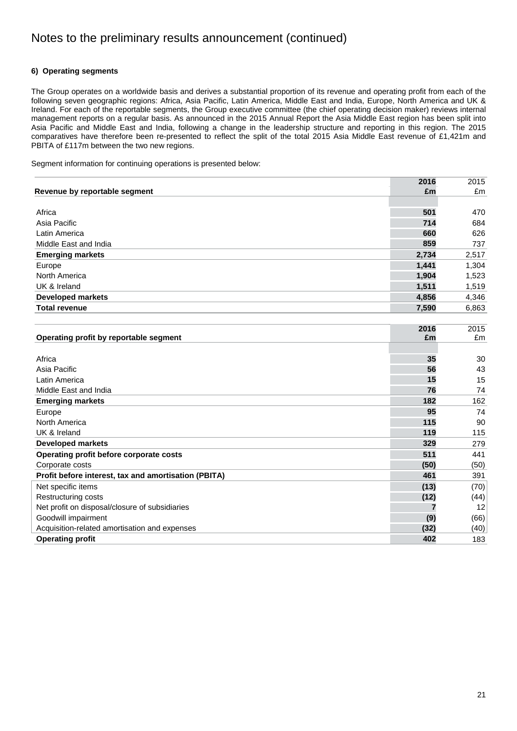### **6) Operating segments**

The Group operates on a worldwide basis and derives a substantial proportion of its revenue and operating profit from each of the following seven geographic regions: Africa, Asia Pacific, Latin America, Middle East and India, Europe, North America and UK & Ireland. For each of the reportable segments, the Group executive committee (the chief operating decision maker) reviews internal management reports on a regular basis. As announced in the 2015 Annual Report the Asia Middle East region has been split into Asia Pacific and Middle East and India, following a change in the leadership structure and reporting in this region. The 2015 comparatives have therefore been re-presented to reflect the split of the total 2015 Asia Middle East revenue of £1,421m and PBITA of £117m between the two new regions.

Segment information for continuing operations is presented below:

|                                                      | 2016  | 2015  |
|------------------------------------------------------|-------|-------|
| Revenue by reportable segment                        | £m    | £m    |
|                                                      |       |       |
| Africa                                               | 501   | 470   |
| Asia Pacific                                         | 714   | 684   |
| Latin America                                        | 660   | 626   |
| Middle East and India                                | 859   | 737   |
| <b>Emerging markets</b>                              | 2,734 | 2,517 |
| Europe                                               | 1,441 | 1,304 |
| North America                                        | 1,904 | 1,523 |
| UK & Ireland                                         | 1,511 | 1,519 |
| <b>Developed markets</b>                             | 4,856 | 4,346 |
| <b>Total revenue</b>                                 | 7,590 | 6,863 |
|                                                      |       |       |
|                                                      | 2016  | 2015  |
| Operating profit by reportable segment               | £m    | £m    |
|                                                      |       |       |
| Africa                                               | 35    | 30    |
| Asia Pacific                                         | 56    | 43    |
| Latin America                                        | 15    | 15    |
| Middle East and India                                | 76    | 74    |
| <b>Emerging markets</b>                              | 182   | 162   |
| Europe                                               | 95    | 74    |
| North America                                        | 115   | 90    |
| UK & Ireland                                         | 119   | 115   |
| <b>Developed markets</b>                             | 329   | 279   |
| Operating profit before corporate costs              | 511   | 441   |
| Corporate costs                                      | (50)  | (50)  |
| Profit before interest, tax and amortisation (PBITA) | 461   | 391   |
| Net specific items                                   | (13)  | (70)  |
| Restructuring costs                                  | (12)  | (44)  |
| Net profit on disposal/closure of subsidiaries       | 7     | 12    |
| Goodwill impairment                                  | (9)   | (66)  |

Acquisition-related amortisation and expenses (40) (40) (40) (40) (40) (40) **Operating profit 402** 183

**(32)**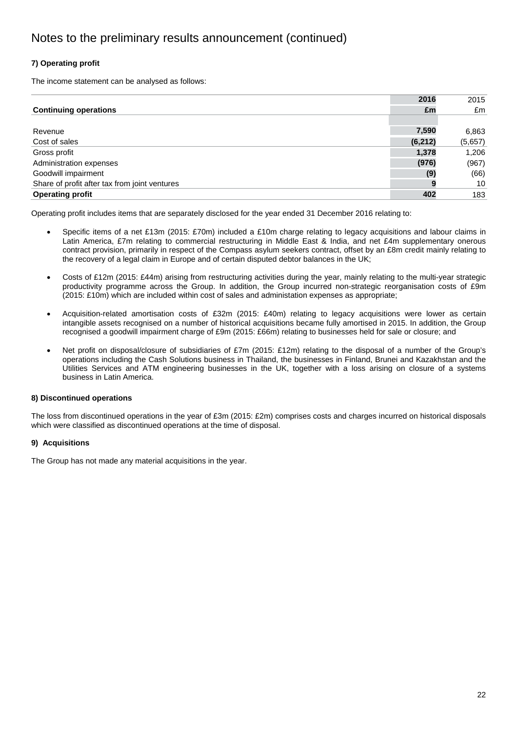### **7) Operating profit**

The income statement can be analysed as follows:

|                                               | 2016     | 2015    |
|-----------------------------------------------|----------|---------|
| <b>Continuing operations</b>                  | £m       | £m      |
|                                               |          |         |
| Revenue                                       | 7,590    | 6,863   |
| Cost of sales                                 | (6, 212) | (5,657) |
| Gross profit                                  | 1,378    | 1,206   |
| Administration expenses                       | (976)    | (967)   |
| Goodwill impairment                           | (9)      | (66)    |
| Share of profit after tax from joint ventures | 9        | 10      |
| <b>Operating profit</b>                       | 402      | 183     |

Operating profit includes items that are separately disclosed for the year ended 31 December 2016 relating to:

- the recovery of a legal claim in Europe and of certain disputed debtor balances in the UK; Specific items of a net £13m (2015: £70m) included a £10m charge relating to legacy acquisitions and labour claims in Latin America, £7m relating to commercial restructuring in Middle East & India, and net £4m supplementary onerous contract provision, primarily in respect of the Compass asylum seekers contract, offset by an £8m credit mainly relating to
- productivity programme across the Group. In addition, the Group incurred non-strategic reorganisation costs of £9m Costs of £12m (2015: £44m) arising from restructuring activities during the year, mainly relating to the multi-year strategic (2015: £10m) which are included within cost of sales and administation expenses as appropriate;
- Acquisition-related amortisation costs of £32m (2015: £40m) relating to legacy acquisitions were lower as certain intangible assets recognised on a number of historical acquisitions became fully amortised in 2015. In addition, the Group recognised a goodwill impairment charge of £9m (2015: £66m) relating to businesses held for sale or closure; and
- Net profit on disposal/closure of subsidiaries of £7m (2015: £12m) relating to the disposal of a number of the Group's operations including the Cash Solutions business in Thailand, the businesses in Finland, Brunei and Kazakhstan and the Utilities Services and ATM engineering businesses in the UK, together with a loss arising on closure of a systems business in Latin America.

### **8) Discontinued operations**

The loss from discontinued operations in the year of £3m (2015: £2m) comprises costs and charges incurred on historical disposals which were classified as discontinued operations at the time of disposal.

### **9) Acquisitions**

The Group has not made any material acquisitions in the year.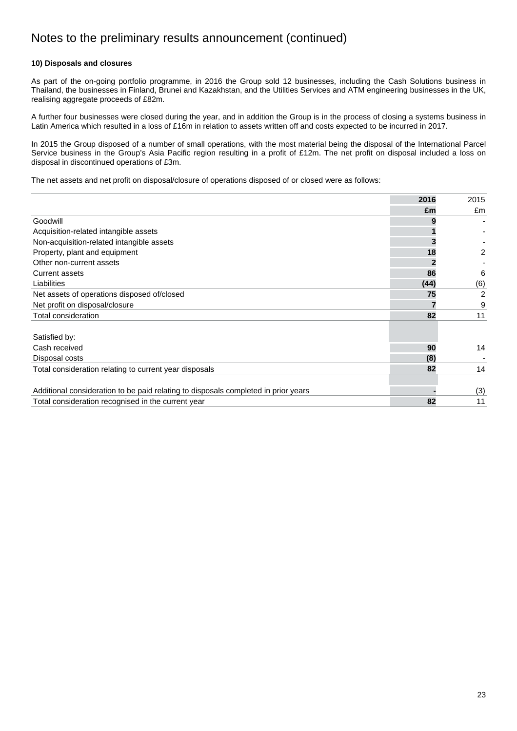### **10) Disposals and closures**

As part of the on-going portfolio programme, in 2016 the Group sold 12 businesses, including the Cash Solutions business in Thailand, the businesses in Finland, Brunei and Kazakhstan, and the Utilities Services and ATM engineering businesses in the UK, realising aggregate proceeds of £82m.

A further four businesses were closed during the year, and in addition the Group is in the process of closing a systems business in Latin America which resulted in a loss of £16m in relation to assets written off and costs expected to be incurred in 2017.

In 2015 the Group disposed of a number of small operations, with the most material being the disposal of the International Parcel Service business in the Group's Asia Pacific region resulting in a profit of £12m. The net profit on disposal included a loss on disposal in discontinued operations of £3m.

The net assets and net profit on disposal/closure of operations disposed of or closed were as follows:

|                                                                                    | 2016 | 2015 |
|------------------------------------------------------------------------------------|------|------|
|                                                                                    | £m   | £m   |
| Goodwill                                                                           |      |      |
| Acquisition-related intangible assets                                              |      |      |
| Non-acquisition-related intangible assets                                          |      |      |
| Property, plant and equipment                                                      | 18   | 2    |
| Other non-current assets                                                           |      |      |
| <b>Current assets</b>                                                              | 86   | 6    |
| Liabilities                                                                        | (44) | (6)  |
| Net assets of operations disposed of/closed                                        | 75   | 2    |
| Net profit on disposal/closure                                                     |      | 9    |
| Total consideration                                                                | 82   | 11   |
| Satisfied by:                                                                      |      |      |
| Cash received                                                                      | 90   | 14   |
| Disposal costs                                                                     | (8)  |      |
| Total consideration relating to current year disposals                             | 82   | 14   |
|                                                                                    |      |      |
| Additional consideration to be paid relating to disposals completed in prior years |      | (3)  |
| Total consideration recognised in the current year                                 | 82   | 11   |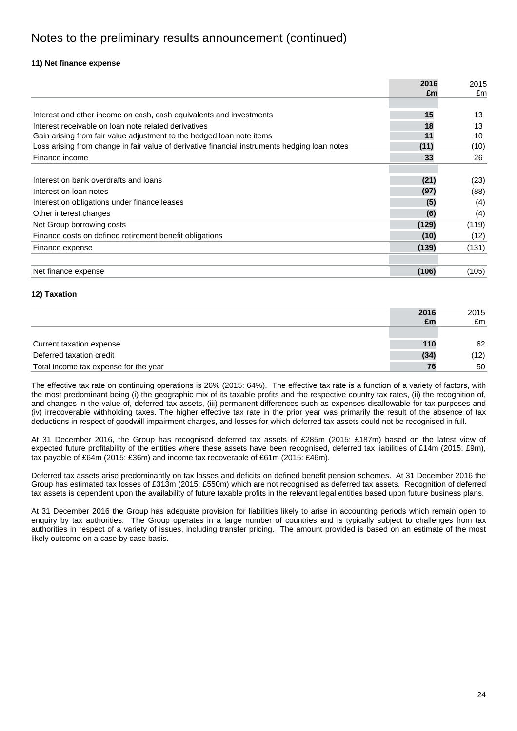### **11) Net finance expense**

|                                                                                               | 2016  | 2015  |
|-----------------------------------------------------------------------------------------------|-------|-------|
|                                                                                               | £m    | £m    |
|                                                                                               |       |       |
| Interest and other income on cash, cash equivalents and investments                           | 15    | 13    |
| Interest receivable on loan note related derivatives                                          | 18    | 13    |
| Gain arising from fair value adjustment to the hedged loan note items                         | 11    | 10    |
| Loss arising from change in fair value of derivative financial instruments hedging loan notes | (11)  | (10)  |
| Finance income                                                                                | 33    | 26    |
|                                                                                               |       |       |
| Interest on bank overdrafts and loans                                                         | (21)  | (23)  |
| Interest on loan notes                                                                        | (97)  | (88)  |
| Interest on obligations under finance leases                                                  | (5)   | (4)   |
| Other interest charges                                                                        | (6)   | (4)   |
| Net Group borrowing costs                                                                     | (129) | (119) |
| Finance costs on defined retirement benefit obligations                                       | (10)  | (12)  |
| Finance expense                                                                               | (139) | (131) |
|                                                                                               |       |       |
| Net finance expense                                                                           | (106) | (105) |

### **12) Taxation**

| 12) Taxation                          |      |      |
|---------------------------------------|------|------|
|                                       | 2016 | 2015 |
|                                       | £m   | £m   |
|                                       |      |      |
| Current taxation expense              | 110  | 62   |
| Deferred taxation credit              | (34) | (12) |
| Total income tax expense for the year | 76   | 50   |

 The effective tax rate on continuing operations is 26% (2015: 64%). The effective tax rate is a function of a variety of factors, with the most predominant being (i) the geographic mix of its taxable profits and the respective country tax rates, (ii) the recognition of, and changes in the value of, deferred tax assets, (iii) permanent differences such as expenses disallowable for tax purposes and (iv) irrecoverable withholding taxes. The higher effective tax rate in the prior year was primarily the result of the absence of tax deductions in respect of goodwill impairment charges, and losses for which deferred tax assets could not be recognised in full.

 At 31 December 2016, the Group has recognised deferred tax assets of £285m (2015: £187m) based on the latest view of expected future profitability of the entities where these assets have been recognised, deferred tax liabilities of £14m (2015: £9m), tax payable of £64m (2015: £36m) and income tax recoverable of £61m (2015: £46m).

 Deferred tax assets arise predominantly on tax losses and deficits on defined benefit pension schemes. At 31 December 2016 the Group has estimated tax losses of £313m (2015: £550m) which are not recognised as deferred tax assets. Recognition of deferred tax assets is dependent upon the availability of future taxable profits in the relevant legal entities based upon future business plans.

At 31 December 2016 the Group has adequate provision for liabilities likely to arise in accounting periods which remain open to enquiry by tax authorities. The Group operates in a large number of countries and is typically subject to challenges from tax authorities in respect of a variety of issues, including transfer pricing. The amount provided is based on an estimate of the most likely outcome on a case by case basis.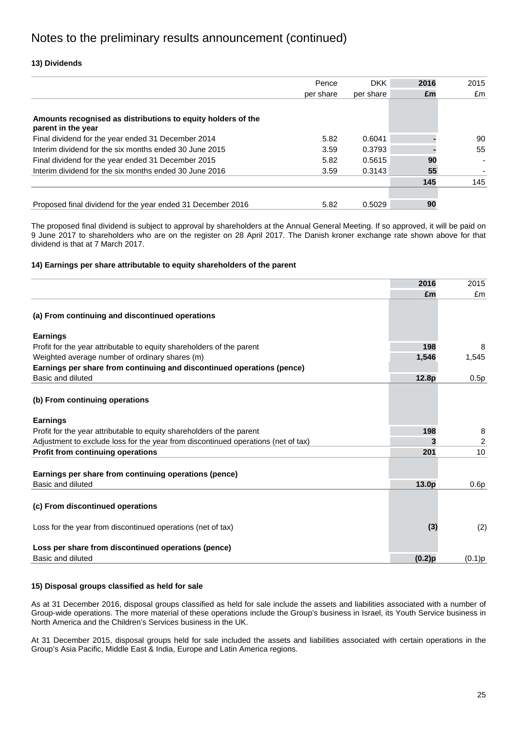### **13) Dividends**

| Pence     | <b>DKK</b> | 2016 | 2015 |
|-----------|------------|------|------|
| per share | per share  | £m   | £m   |
|           |            |      |      |
|           |            |      |      |
| 5.82      | 0.6041     |      | 90   |
| 3.59      | 0.3793     |      | 55   |
| 5.82      | 0.5615     | 90   |      |
| 3.59      | 0.3143     | 55   |      |
|           |            | 145  | 145  |
|           |            |      |      |
| 5.82      | 0.5029     | 90   |      |
|           |            |      |      |

The proposed final dividend is subject to approval by shareholders at the Annual General Meeting. If so approved, it will be paid on 9 June 2017 to shareholders who are on the register on 28 April 2017. The Danish kroner exchange rate shown above for that dividend is that at 7 March 2017.

### **14) Earnings per share attributable to equity shareholders of the parent**

|                                                                                   | 2016      | 2015   |
|-----------------------------------------------------------------------------------|-----------|--------|
|                                                                                   | £m        | £m     |
| (a) From continuing and discontinued operations                                   |           |        |
| <b>Earnings</b>                                                                   |           |        |
| Profit for the year attributable to equity shareholders of the parent             | 198       | 8      |
| Weighted average number of ordinary shares (m)                                    | 1,546     | 1,545  |
| Earnings per share from continuing and discontinued operations (pence)            |           |        |
| Basic and diluted                                                                 | 12.8p     | 0.5p   |
| (b) From continuing operations<br><b>Earnings</b>                                 |           |        |
| Profit for the year attributable to equity shareholders of the parent             | 198       | 8      |
| Adjustment to exclude loss for the year from discontinued operations (net of tax) | 3         | 2      |
| Profit from continuing operations                                                 | 201       | 10     |
| Earnings per share from continuing operations (pence)<br>Basic and diluted        |           |        |
|                                                                                   | 13.0p     | 0.6p   |
| (c) From discontinued operations                                                  |           |        |
| Loss for the year from discontinued operations (net of tax)                       | (3)       | (2)    |
| Loss per share from discontinued operations (pence)<br>Basic and diluted          | $(0.2)$ p | (0.1)p |

### **15) Disposal groups classified as held for sale**

 As at 31 December 2016, disposal groups classified as held for sale include the assets and liabilities associated with a number of Group-wide operations. The more material of these operations include the Group's business in Israel, its Youth Service business in North America and the Children's Services business in the UK.

At 31 December 2015, disposal groups held for sale included the assets and liabilities associated with certain operations in the Group's Asia Pacific, Middle East & India, Europe and Latin America regions.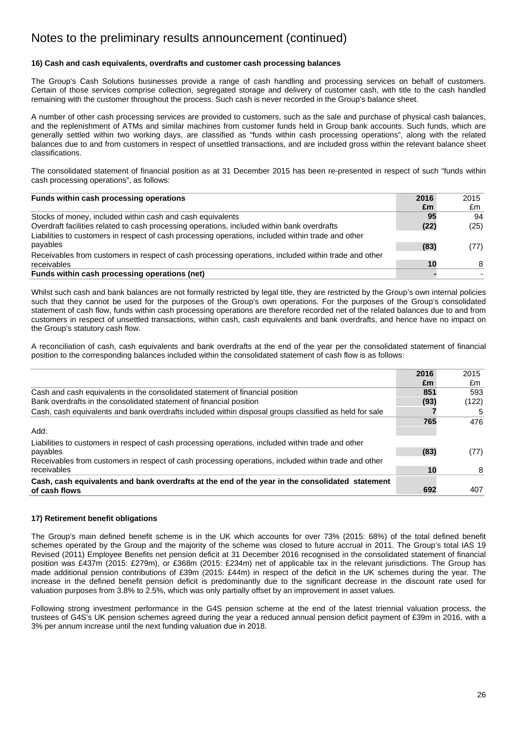### **16) Cash and cash equivalents, overdrafts and customer cash processing balances**

The Group's Cash Solutions businesses provide a range of cash handling and processing services on behalf of customers. Certain of those services comprise collection, segregated storage and delivery of customer cash, with title to the cash handled remaining with the customer throughout the process. Such cash is never recorded in the Group's balance sheet.

A number of other cash processing services are provided to customers, such as the sale and purchase of physical cash balances, and the replenishment of ATMs and similar machines from customer funds held in Group bank accounts. Such funds, which are generally settled within two working days, are classified as "funds within cash processing operations", along with the related balances due to and from customers in respect of unsettled transactions, and are included gross within the relevant balance sheet classifications.

The consolidated statement of financial position as at 31 December 2015 has been re-presented in respect of such "funds within cash processing operations", as follows:

| Funds within cash processing operations                                                              | 2016 | 2015 |
|------------------------------------------------------------------------------------------------------|------|------|
|                                                                                                      | £m   | £m   |
| Stocks of money, included within cash and cash equivalents                                           | 95   | 94   |
| Overdraft facilities related to cash processing operations, included within bank overdrafts          | (22) | (25) |
| Liabilities to customers in respect of cash processing operations, included within trade and other   |      |      |
| payables                                                                                             | (83) | (77) |
| Receivables from customers in respect of cash processing operations, included within trade and other |      |      |
| receivables                                                                                          | 10   | 8    |
| Funds within cash processing operations (net)                                                        |      |      |

Whilst such cash and bank balances are not formally restricted by legal title, they are restricted by the Group's own internal policies such that they cannot be used for the purposes of the Group's own operations. For the purposes of the Group's consolidated statement of cash flow, funds within cash processing operations are therefore recorded net of the related balances due to and from customers in respect of unsettled transactions, within cash, cash equivalents and bank overdrafts, and hence have no impact on the Group's statutory cash flow.

A reconciliation of cash, cash equivalents and bank overdrafts at the end of the year per the consolidated statement of financial position to the corresponding balances included within the consolidated statement of cash flow is as follows:

|                                                                                                        | 2016 | 2015  |
|--------------------------------------------------------------------------------------------------------|------|-------|
|                                                                                                        | £m   | £m    |
| Cash and cash equivalents in the consolidated statement of financial position                          | 851  | 593   |
| Bank overdrafts in the consolidated statement of financial position                                    | (93) | (122) |
| Cash, cash equivalents and bank overdrafts included within disposal groups classified as held for sale |      | 5     |
|                                                                                                        | 765  | 476   |
| Add:                                                                                                   |      |       |
| Liabilities to customers in respect of cash processing operations, included within trade and other     |      |       |
| payables                                                                                               | (83) | (77)  |
| Receivables from customers in respect of cash processing operations, included within trade and other   |      |       |
| receivables                                                                                            | 10   | 8     |
| Cash, cash equivalents and bank overdrafts at the end of the year in the consolidated statement        |      |       |
| of cash flows                                                                                          | 692  | 407   |

### **17) Retirement benefit obligations**

The Group's main defined benefit scheme is in the UK which accounts for over 73% (2015: 68%) of the total defined benefit schemes operated by the Group and the majority of the scheme was closed to future accrual in 2011. The Group's total IAS 19 Revised (2011) Employee Benefits net pension deficit at 31 December 2016 recognised in the consolidated statement of financial position was £437m (2015: £279m), or £368m (2015: £234m) net of applicable tax in the relevant jurisdictions. The Group has made additional pension contributions of £39m (2015: £44m) in respect of the deficit in the UK schemes during the year. The increase in the defined benefit pension deficit is predominantly due to the significant decrease in the discount rate used for valuation purposes from 3.8% to 2.5%, which was only partially offset by an improvement in asset values.

3% per annum increase until the next funding valuation due in 2018. Following strong investment performance in the G4S pension scheme at the end of the latest triennial valuation process, the trustees of G4S's UK pension schemes agreed during the year a reduced annual pension deficit payment of £39m in 2016, with a 3% per annum increase until the next funding valuation due in 2018. 26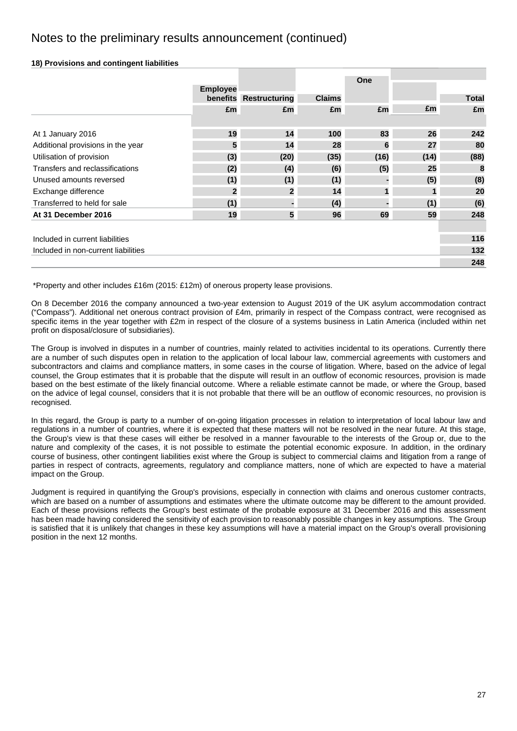### **18) Provisions and contingent liabilities**

|                                     | <b>Employee</b> |                        |               | One  |             |              |
|-------------------------------------|-----------------|------------------------|---------------|------|-------------|--------------|
|                                     |                 | benefits Restructuring | <b>Claims</b> |      |             | <b>Total</b> |
|                                     | £m              | £m                     | £m            | £m   | £m          | £m           |
|                                     |                 |                        |               |      |             |              |
| At 1 January 2016                   | 19              | 14                     | 100           | 83   | 26          | 242          |
| Additional provisions in the year   | 5               | 14                     | 28            | 6    | 27          | 80           |
| Utilisation of provision            | (3)             | (20)                   | (35)          | (16) | (14)        | (88)         |
| Transfers and reclassifications     | (2)             | (4)                    | (6)           | (5)  | 25          | 8            |
| Unused amounts reversed             | (1)             | (1)                    | (1)           |      | (5)         | (8)          |
| Exchange difference                 | $\overline{2}$  | $\overline{2}$         | 14            |      | $\mathbf 1$ | 20           |
| Transferred to held for sale        | (1)             | н.                     | (4)           |      | (1)         | (6)          |
| At 31 December 2016                 | 19              | 5                      | 96            | 69   | 59          | 248          |
|                                     |                 |                        |               |      |             |              |
| Included in current liabilities     |                 |                        |               |      |             | 116          |
| Included in non-current liabilities |                 |                        |               |      |             | 132          |
|                                     |                 |                        |               |      |             | 248          |

\*Property and other includes £16m (2015: £12m) of onerous property lease provisions.

On 8 December 2016 the company announced a two-year extension to August 2019 of the UK asylum accommodation contract ("Compass"). Additional net onerous contract provision of £4m, primarily in respect of the Compass contract, were recognised as specific items in the year together with £2m in respect of the closure of a systems business in Latin America (included within net profit on disposal/closure of subsidiaries).

The Group is involved in disputes in a number of countries, mainly related to activities incidental to its operations. Currently there are a number of such disputes open in relation to the application of local labour law, commercial agreements with customers and subcontractors and claims and compliance matters, in some cases in the course of litigation. Where, based on the advice of legal counsel, the Group estimates that it is probable that the dispute will result in an outflow of economic resources, provision is made based on the best estimate of the likely financial outcome. Where a reliable estimate cannot be made, or where the Group, based on the advice of legal counsel, considers that it is not probable that there will be an outflow of economic resources, no provision is recognised.

In this regard, the Group is party to a number of on-going litigation processes in relation to interpretation of local labour law and regulations in a number of countries, where it is expected that these matters will not be resolved in the near future. At this stage, the Group's view is that these cases will either be resolved in a manner favourable to the interests of the Group or, due to the nature and complexity of the cases, it is not possible to estimate the potential economic exposure. In addition, in the ordinary course of business, other contingent liabilities exist where the Group is subject to commercial claims and litigation from a range of parties in respect of contracts, agreements, regulatory and compliance matters, none of which are expected to have a material impact on the Group.

 which are based on a number of assumptions and estimates where the ultimate outcome may be different to the amount provided. is satisfied that it is unlikely that changes in these key assumptions will have a material impact on the Group's overall provisioning<br>position in the next 12 months. Judgment is required in quantifying the Group's provisions, especially in connection with claims and onerous customer contracts, Each of these provisions reflects the Group's best estimate of the probable exposure at 31 December 2016 and this assessment has been made having considered the sensitivity of each provision to reasonably possible changes in key assumptions. The Group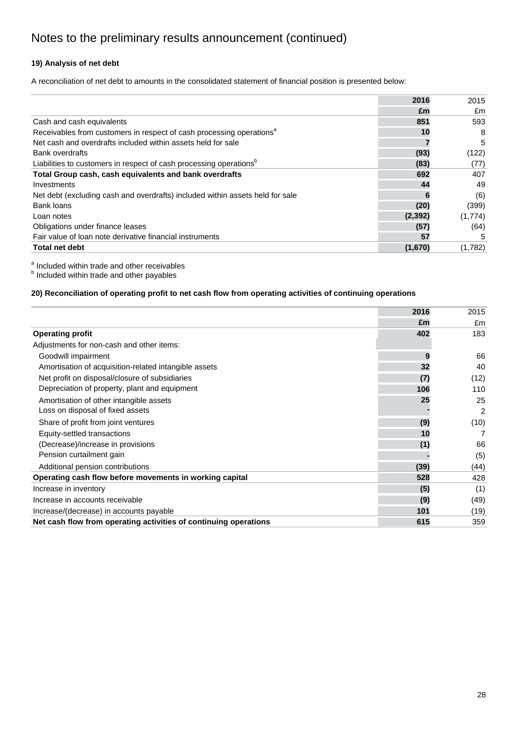## **19) Analysis of net debt**

A reconciliation of net debt to amounts in the consolidated statement of financial position is presented below:

|                                                                                  | 2016     | 2015    |
|----------------------------------------------------------------------------------|----------|---------|
|                                                                                  | £m       | £m      |
| Cash and cash equivalents                                                        | 851      | 593     |
| Receivables from customers in respect of cash processing operations <sup>a</sup> | 10       | 8       |
| Net cash and overdrafts included within assets held for sale                     |          | 5       |
| <b>Bank overdrafts</b>                                                           | (93)     | (122)   |
| Liabilities to customers in respect of cash processing operations <sup>b</sup>   | (83)     | (77)    |
| Total Group cash, cash equivalents and bank overdrafts                           | 692      | 407     |
| Investments                                                                      | 44       | 49      |
| Net debt (excluding cash and overdrafts) included within assets held for sale    |          | (6)     |
| <b>Bank loans</b>                                                                | (20)     | (399)   |
| Loan notes                                                                       | (2, 392) | (1,774) |
| Obligations under finance leases                                                 | (57)     | (64)    |
| Fair value of loan note derivative financial instruments                         | 57       | 5       |
| <b>Total net debt</b>                                                            | (1,670)  | (1,782) |

<sup>a</sup> Included within trade and other receivables<br><sup>b</sup> Included within trade and other payables

### **20) Reconciliation of operating profit to net cash flow from operating activities of continuing operations**

|                                                                  | 2016 | 2015 |
|------------------------------------------------------------------|------|------|
|                                                                  | £m   | £m   |
| <b>Operating profit</b>                                          | 402  | 183  |
| Adjustments for non-cash and other items:                        |      |      |
| Goodwill impairment                                              | 9    | 66   |
| Amortisation of acquisition-related intangible assets            | 32   | 40   |
| Net profit on disposal/closure of subsidiaries                   | (7)  | (12) |
| Depreciation of property, plant and equipment                    | 106  | 110  |
| Amortisation of other intangible assets                          | 25   | 25   |
| Loss on disposal of fixed assets                                 |      | 2    |
| Share of profit from joint ventures                              | (9)  | (10) |
| Equity-settled transactions                                      | 10   | 7    |
| (Decrease)/increase in provisions                                | (1)  | 66   |
| Pension curtailment gain                                         |      | (5)  |
| Additional pension contributions                                 | (39) | (44) |
| Operating cash flow before movements in working capital          | 528  | 428  |
| Increase in inventory                                            | (5)  | (1)  |
| Increase in accounts receivable                                  | (9)  | (49) |
| Increase/(decrease) in accounts payable                          | 101  | (19) |
| Net cash flow from operating activities of continuing operations | 615  | 359  |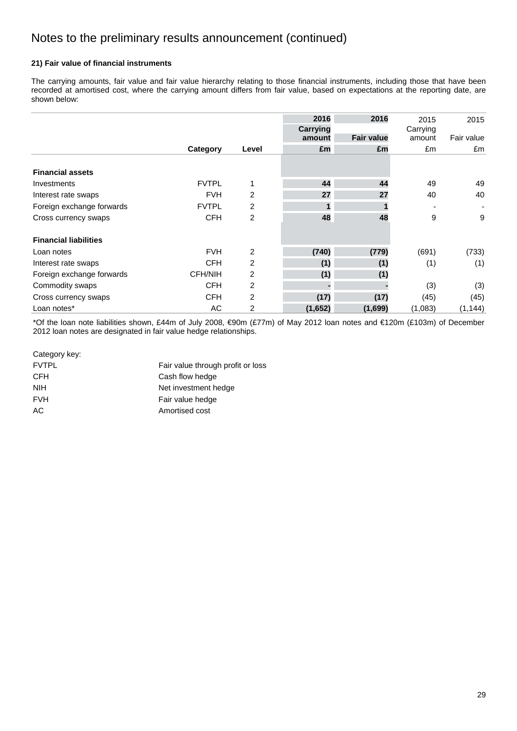### **21) Fair value of financial instruments**

The carrying amounts, fair value and fair value hierarchy relating to those financial instruments, including those that have been recorded at amortised cost, where the carrying amount differs from fair value, based on expectations at the reporting date, are shown below:

|                              |                |                | 2016            | 2016              | 2015     | 2015       |
|------------------------------|----------------|----------------|-----------------|-------------------|----------|------------|
|                              |                |                | <b>Carrying</b> |                   | Carrying |            |
|                              |                |                | amount          | <b>Fair value</b> | amount   | Fair value |
|                              | Category       | Level          | £m              | £m                | £m       | £m         |
| <b>Financial assets</b>      |                |                |                 |                   |          |            |
| Investments                  | <b>FVTPL</b>   | 1              | 44              | 44                | 49       | 49         |
| Interest rate swaps          | <b>FVH</b>     | 2              | 27              | 27                | 40       | 40         |
| Foreign exchange forwards    | <b>FVTPL</b>   | $\overline{2}$ |                 |                   |          | ۰          |
| Cross currency swaps         | <b>CFH</b>     | $\overline{2}$ | 48              | 48                | 9        | 9          |
| <b>Financial liabilities</b> |                |                |                 |                   |          |            |
| Loan notes                   | <b>FVH</b>     | 2              | (740)           | (779)             | (691)    | (733)      |
| Interest rate swaps          | <b>CFH</b>     | 2              | (1)             | (1)               | (1)      | (1)        |
| Foreign exchange forwards    | <b>CFH/NIH</b> | 2              | (1)             | (1)               |          |            |
| Commodity swaps              | <b>CFH</b>     | $\overline{2}$ |                 |                   | (3)      | (3)        |
| Cross currency swaps         | <b>CFH</b>     | $\overline{2}$ | (17)            | (17)              | (45)     | (45)       |
| Loan notes*                  | AC             | $\overline{c}$ | (1,652)         | (1,699)           | (1,083)  | (1, 144)   |

\*Of the loan note liabilities shown, £44m of July 2008, €90m (£77m) of May 2012 loan notes and €120m (£103m) of December 2012 loan notes are designated in fair value hedge relationships.

| Category key: |  |
|---------------|--|
|---------------|--|

| Category key: |                                   |    |
|---------------|-----------------------------------|----|
| <b>FVTPL</b>  | Fair value through profit or loss |    |
| CFH           | Cash flow hedge                   |    |
| <b>NIH</b>    | Net investment hedge              |    |
| <b>FVH</b>    | Fair value hedge                  |    |
| $\mathsf{AC}$ | Amortised cost                    |    |
|               |                                   |    |
|               |                                   |    |
|               |                                   |    |
|               |                                   |    |
|               |                                   |    |
|               |                                   |    |
|               |                                   |    |
|               |                                   |    |
|               |                                   |    |
|               |                                   |    |
|               |                                   |    |
|               |                                   |    |
|               |                                   |    |
|               |                                   |    |
|               |                                   |    |
|               |                                   |    |
|               |                                   |    |
|               |                                   |    |
|               |                                   |    |
|               |                                   |    |
|               |                                   |    |
|               |                                   |    |
|               |                                   | 29 |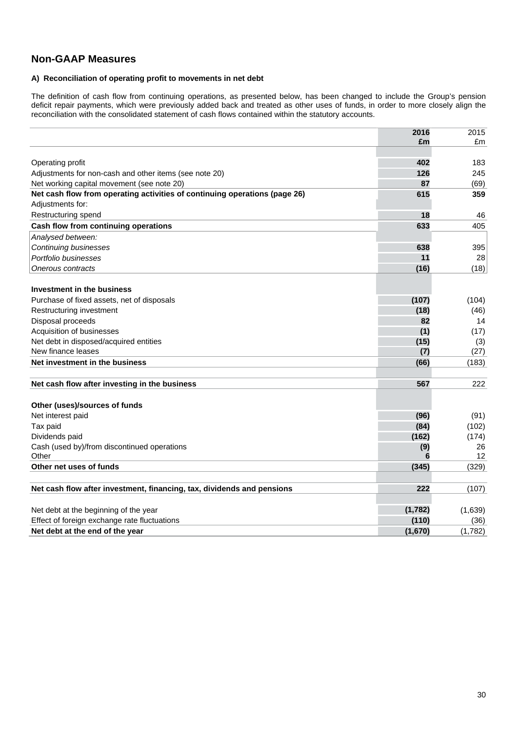## **Non-GAAP Measures**

### **A) Reconciliation of operating profit to movements in net debt**

The definition of cash flow from continuing operations, as presented below, has been changed to include the Group's pension deficit repair payments, which were previously added back and treated as other uses of funds, in order to more closely align the reconciliation with the consolidated statement of cash flows contained within the statutory accounts.

|                                                                            | 2016    | 2015    |
|----------------------------------------------------------------------------|---------|---------|
|                                                                            | £m      | £m      |
|                                                                            |         |         |
| Operating profit                                                           | 402     | 183     |
| Adjustments for non-cash and other items (see note 20)                     | 126     | 245     |
| Net working capital movement (see note 20)                                 | 87      | (69)    |
| Net cash flow from operating activities of continuing operations (page 26) | 615     | 359     |
| Adjustments for:                                                           |         |         |
| Restructuring spend                                                        | 18      | 46      |
| Cash flow from continuing operations                                       | 633     | 405     |
| Analysed between:                                                          |         |         |
| <b>Continuing businesses</b>                                               | 638     | 395     |
| Portfolio businesses                                                       | 11      | 28      |
| Onerous contracts                                                          | (16)    | (18)    |
|                                                                            |         |         |
| Investment in the business                                                 |         |         |
| Purchase of fixed assets, net of disposals                                 | (107)   | (104)   |
| Restructuring investment                                                   | (18)    | (46)    |
| Disposal proceeds                                                          | 82      | 14      |
| Acquisition of businesses                                                  | (1)     | (17)    |
| Net debt in disposed/acquired entities                                     | (15)    | (3)     |
| New finance leases                                                         | (7)     | (27)    |
| Net investment in the business                                             | (66)    | (183)   |
|                                                                            |         |         |
| Net cash flow after investing in the business                              | 567     | 222     |
| Other (uses)/sources of funds                                              |         |         |
| Net interest paid                                                          | (96)    | (91)    |
| Tax paid                                                                   | (84)    | (102)   |
| Dividends paid                                                             | (162)   | (174)   |
| Cash (used by)/from discontinued operations                                | (9)     | 26      |
| Other                                                                      | 6       | 12      |
| Other net uses of funds                                                    | (345)   | (329)   |
|                                                                            |         |         |
| Net cash flow after investment, financing, tax, dividends and pensions     | 222     | (107)   |
|                                                                            |         |         |
| Net debt at the beginning of the year                                      | (1,782) | (1,639) |
| Effect of foreign exchange rate fluctuations                               | (110)   | (36)    |
| Net debt at the end of the year                                            | (1,670) | (1,782) |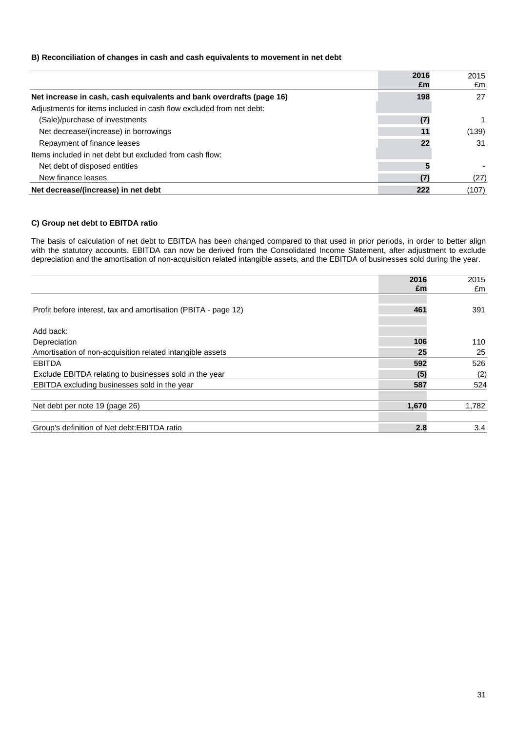### **B) Reconciliation of changes in cash and cash equivalents to movement in net debt**

|                                                                      | 2016 | 2015  |
|----------------------------------------------------------------------|------|-------|
|                                                                      | £m   | £m    |
| Net increase in cash, cash equivalents and bank overdrafts (page 16) | 198  | 27    |
| Adjustments for items included in cash flow excluded from net debt:  |      |       |
| (Sale)/purchase of investments                                       | (7)  |       |
| Net decrease/(increase) in borrowings                                | 11   | (139) |
| Repayment of finance leases                                          | 22   | 31    |
| Items included in net debt but excluded from cash flow:              |      |       |
| Net debt of disposed entities                                        |      |       |
| New finance leases                                                   | (7   | (27)  |
| Net decrease/(increase) in net debt                                  | 222  | (107) |

### **C) Group net debt to EBITDA ratio**

The basis of calculation of net debt to EBITDA has been changed compared to that used in prior periods, in order to better align with the statutory accounts. EBITDA can now be derived from the Consolidated Income Statement, after adjustment to exclude depreciation and the amortisation of non-acquisition related intangible assets, and the EBITDA of businesses sold during the year.

|                                                                | 2016  | 2015  |
|----------------------------------------------------------------|-------|-------|
|                                                                | £m    | £m    |
|                                                                |       |       |
| Profit before interest, tax and amortisation (PBITA - page 12) | 461   | 391   |
|                                                                |       |       |
| Add back:                                                      |       |       |
| Depreciation                                                   | 106   | 110   |
| Amortisation of non-acquisition related intangible assets      | 25    | 25    |
| <b>EBITDA</b>                                                  | 592   | 526   |
| Exclude EBITDA relating to businesses sold in the year         | (5)   | (2)   |
| EBITDA excluding businesses sold in the year                   | 587   | 524   |
|                                                                |       |       |
| Net debt per note 19 (page 26)                                 | 1,670 | 1,782 |
|                                                                |       |       |
| Group's definition of Net debt: EBITDA ratio                   | 2.8   | 3.4   |
|                                                                |       |       |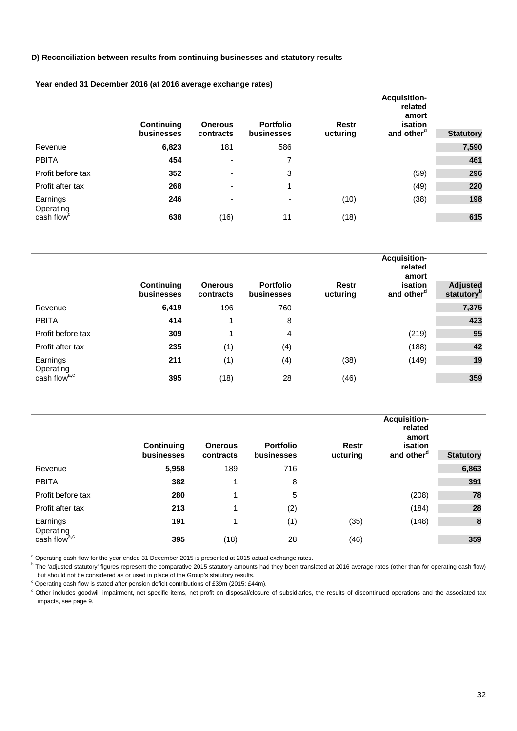### **D) Reconciliation between results from continuing businesses and statutory results**

|                        | <b>Continuing</b><br>businesses | <b>Onerous</b><br>contracts | <b>Portfolio</b><br>businesses | <b>Restr</b><br>ucturing | <b>Acquisition-</b><br>related<br>amort<br>isation<br>and other <sup>d</sup> | <b>Statutory</b> |
|------------------------|---------------------------------|-----------------------------|--------------------------------|--------------------------|------------------------------------------------------------------------------|------------------|
| Revenue                | 6,823                           | 181                         | 586                            |                          |                                                                              | 7,590            |
| <b>PBITA</b>           | 454                             | ٠                           | 7                              |                          |                                                                              | 461              |
| Profit before tax      | 352                             | ٠                           | 3                              |                          | (59)                                                                         | 296              |
| Profit after tax       | 268                             | -                           | 1                              |                          | (49)                                                                         | 220              |
| Earnings<br>Operating  | 246                             | ٠                           | $\overline{\phantom{a}}$       | (10)                     | (38)                                                                         | 198              |
| cash flow <sup>c</sup> | 638                             | (16)                        | 11                             | (18)                     |                                                                              | 615              |

### **Year ended 31 December 2016 (at 2016 average exchange rates)**

|                          | Continuing<br>businesses | <b>Onerous</b><br>contracts | <b>Portfolio</b><br>businesses | <b>Restr</b><br>ucturing | <b>Acquisition-</b><br>related<br>amort<br>isation<br>and other <sup>d</sup> | <b>Adjusted</b><br>statutory <sup>p</sup> |
|--------------------------|--------------------------|-----------------------------|--------------------------------|--------------------------|------------------------------------------------------------------------------|-------------------------------------------|
| Revenue                  | 6,419                    | 196                         | 760                            |                          |                                                                              | 7,375                                     |
| <b>PBITA</b>             | 414                      | 1                           | 8                              |                          |                                                                              | 423                                       |
| Profit before tax        | 309                      | 1                           | 4                              |                          | (219)                                                                        | 95                                        |
| Profit after tax         | 235                      | (1)                         | (4)                            |                          | (188)                                                                        | 42                                        |
| Earnings<br>Operating    | 211                      | (1)                         | (4)                            | (38)                     | (149)                                                                        | 19                                        |
| cash flow <sup>a,c</sup> | 395                      | (18)                        | 28                             | (46)                     |                                                                              | 359                                       |

|                          | Continuing<br>businesses | <b>Onerous</b><br>contracts | <b>Portfolio</b><br>businesses | <b>Restr</b><br>ucturing | <b>Acquisition-</b><br>related<br>amort<br>isation<br>and other <sup>d</sup> | <b>Statutory</b> |
|--------------------------|--------------------------|-----------------------------|--------------------------------|--------------------------|------------------------------------------------------------------------------|------------------|
| Revenue                  | 5,958                    | 189                         | 716                            |                          |                                                                              | 6,863            |
| <b>PBITA</b>             | 382                      |                             | 8                              |                          |                                                                              | 391              |
| Profit before tax        | 280                      |                             | 5                              |                          | (208)                                                                        | 78               |
| Profit after tax         | 213                      |                             | (2)                            |                          | (184)                                                                        | 28               |
| Earnings<br>Operating    | 191                      | и                           | (1)                            | (35)                     | (148)                                                                        | 8                |
| cash flow <sup>a,c</sup> | 395                      | (18)                        | 28                             | (46)                     |                                                                              | 359              |

<sup>a</sup> Operating cash flow for the year ended 31 December 2015 is presented at 2015 actual exchange rates.

<sup>b</sup> The 'adjusted statutory' figures represent the comparative 2015 statutory amounts had they been translated at 2016 average rates (other than for operating cash flow) but should not be considered as or used in place of the Group's statutory results.<br>
<sup>c</sup> Operating cash flow is stated after pension deficit contributions of £39m (2015: £44m).

d Other includes goodwill impairment, net specific items, net profit on disposal/closure of subsidiaries, the results of discontinued operations and the associated tax impacts, see page 9.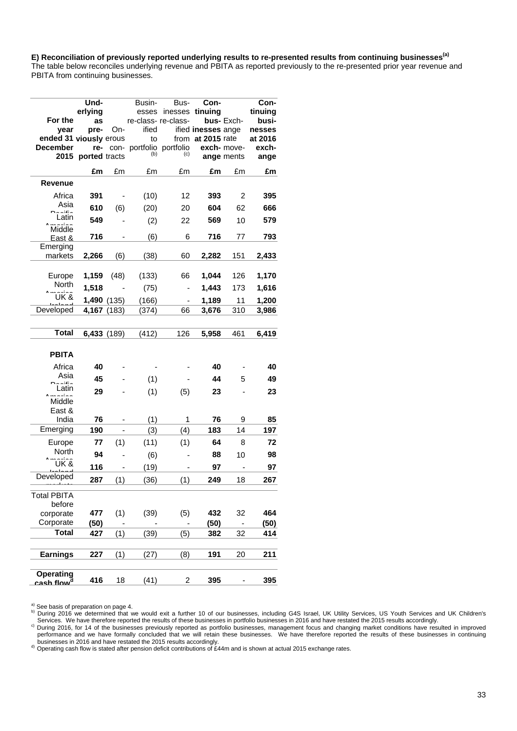E) Reconciliation of previously reported underlying results to re-presented results from continuing businesses<sup>(a)</sup>

The table below reconciles underlying revenue and PBITA as reported previously to the re-presented prior year revenue and PBITA from continuing businesses.

|                                     | Und-          |             | Busin-                          | Bus- | Con-               |             | Con-    |
|-------------------------------------|---------------|-------------|---------------------------------|------|--------------------|-------------|---------|
|                                     | erlying       |             | esses                           |      | inesses tinuing    |             | tinuing |
| For the                             | as            |             | re-class-re-class-              |      |                    | bus-Exch-   | busi-   |
| year                                | pre-          | On-         | ified                           |      | ified inesses ange |             | nesses  |
| ended 31 viously erous              |               |             | to                              |      | from at 2015 rate  |             | at 2016 |
| <b>December</b>                     | re-           |             | con- portfolio portfolio<br>(b) | (c)  |                    | exch- move- | exch-   |
| 2015                                | ported tracts |             |                                 |      |                    | ange ments  | ange    |
|                                     | £m            | £m          | £m                              | £m   | £m                 | £m          | £m      |
| Revenue                             |               |             |                                 |      |                    |             |         |
| Africa                              | 391           |             | (10)                            | 12   | 393                | 2           | 395     |
| Asia<br>بالأفات                     | 610           | (6)         | (20)                            | 20   | 604                | 62          | 666     |
| Latin                               | 549           |             | (2)                             | 22   | 569                | 10          | 579     |
| Middle                              |               |             |                                 |      |                    |             |         |
| East &                              | 716           |             | (6)                             | 6    | 716                | 77          | 793     |
| Emerging<br>markets                 | 2,266         | (6)         | (38)                            | 60   | 2,282              | 151         | 2,433   |
|                                     |               |             |                                 |      |                    |             |         |
| Europe                              | 1,159         | (48)        | (133)                           | 66   | 1,044              | 126         | 1,170   |
| <b>North</b>                        | 1,518         |             | (75)                            |      | 1,443              | 173         | 1,616   |
| UK &                                |               | 1,490 (135) | (166)                           |      | 1,189              | 11          | 1,200   |
| Developed                           |               | 4,167 (183) | (374)                           | 66   | 3,676              | 310         | 3,986   |
|                                     |               |             |                                 |      |                    |             |         |
| <b>Total</b>                        |               | 6,433 (189) | (412)                           | 126  | 5,958              | 461         | 6,419   |
| <b>PBITA</b>                        |               |             |                                 |      |                    |             |         |
| Africa                              | 40            |             |                                 |      | 40                 |             | 40      |
| Asia                                | 45            |             | (1)                             |      | 44                 | 5           | 49      |
| د :4: د ،<br>Latin                  | 29            |             | (1)                             | (5)  | 23                 |             | 23      |
| الدافعات<br>Middle                  |               |             |                                 |      |                    |             |         |
| East &                              |               |             |                                 |      |                    |             |         |
| India                               | 76            |             | (1)                             | 1    | 76                 | 9           | 85      |
| Emerging                            | 190           |             | (3)                             | (4)  | 183                | 14          | 197     |
| Europe                              | 77            | (1)         | (11)                            | (1)  | 64                 | 8           | 72      |
| North                               | 94            |             | (6)                             |      | 88                 | 10          | 98      |
| <b>UK&amp;</b>                      | 116           |             | (19)                            |      | 97                 |             | 97      |
| Developed                           | 287           | (1)         | (36)                            | (1)  | 249                | 18          | 267     |
|                                     |               |             |                                 |      |                    |             |         |
| <b>Total PBITA</b><br>before        |               |             |                                 |      |                    |             |         |
| corporate                           | 477           | (1)         | (39)                            | (5)  | 432                | 32          | 464     |
| Corporate                           | (50)          |             |                                 |      | (50)               |             | (50)    |
| <b>Total</b>                        | 427           | (1)         | (39)                            | (5)  | 382                | 32          | 414     |
|                                     |               |             |                                 |      |                    |             |         |
| <b>Earnings</b>                     | 227           | (1)         | (27)                            | (8)  | 191                | 20          | 211     |
|                                     |               |             |                                 |      |                    |             |         |
| Operating<br>cash flow <sup>d</sup> | 416           | 18          | (41)                            | 2    | 395                |             | 395     |

a) See basis of preparation on page 4.

b) During 2016 we determined that we would exit a further 10 of our businesses, including G4S Israel, UK Utility Services, US Youth Services and UK Children's<br>b) During 2016 we determined that we would exit a further 10 of Services. We have therefore reported the results of these businesses in portfolio businesses in 2016 and have restated the 2015 results accordingly.<br><sup>c)</sup> During 2016, for 14 of the businesses previously reported as portfol

businesses in 2016 and have restated the 2015 results accordingly.<br><sup>d)</sup> Operating cash flow is stated after pension deficit contributions of £44m and is shown at actual 2015 exchange rates. performance and we have formally concluded that we will retain these businesses. We have therefore reported the results of these businesses in continuing